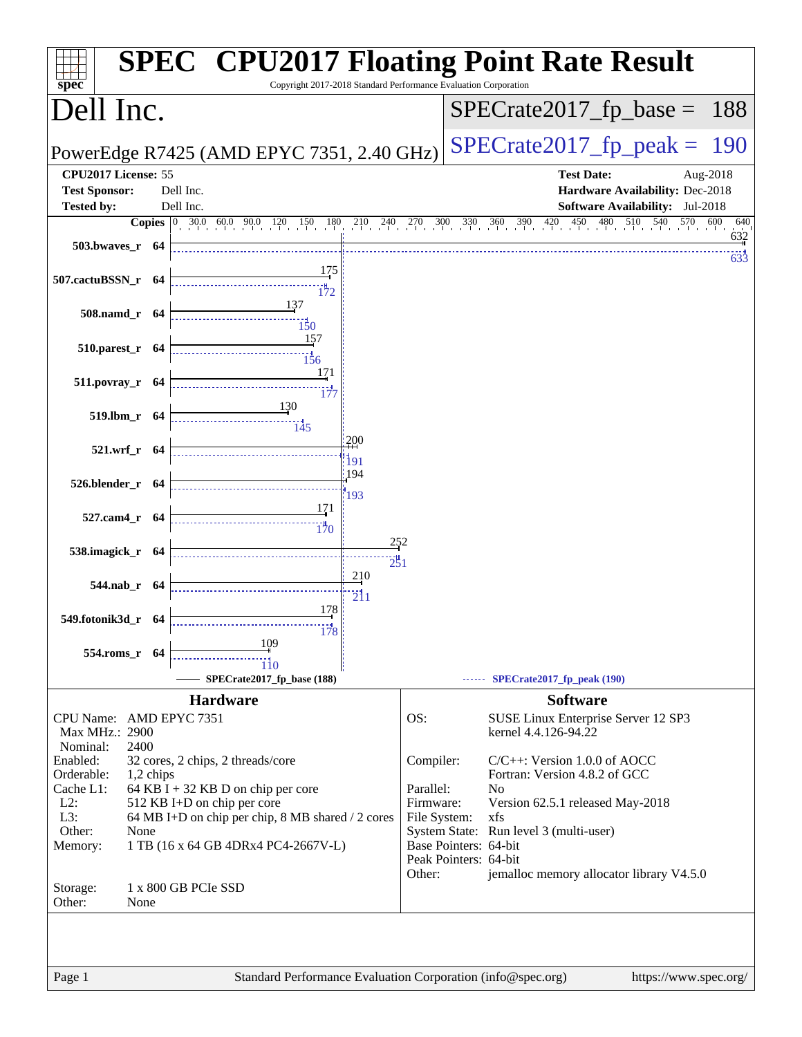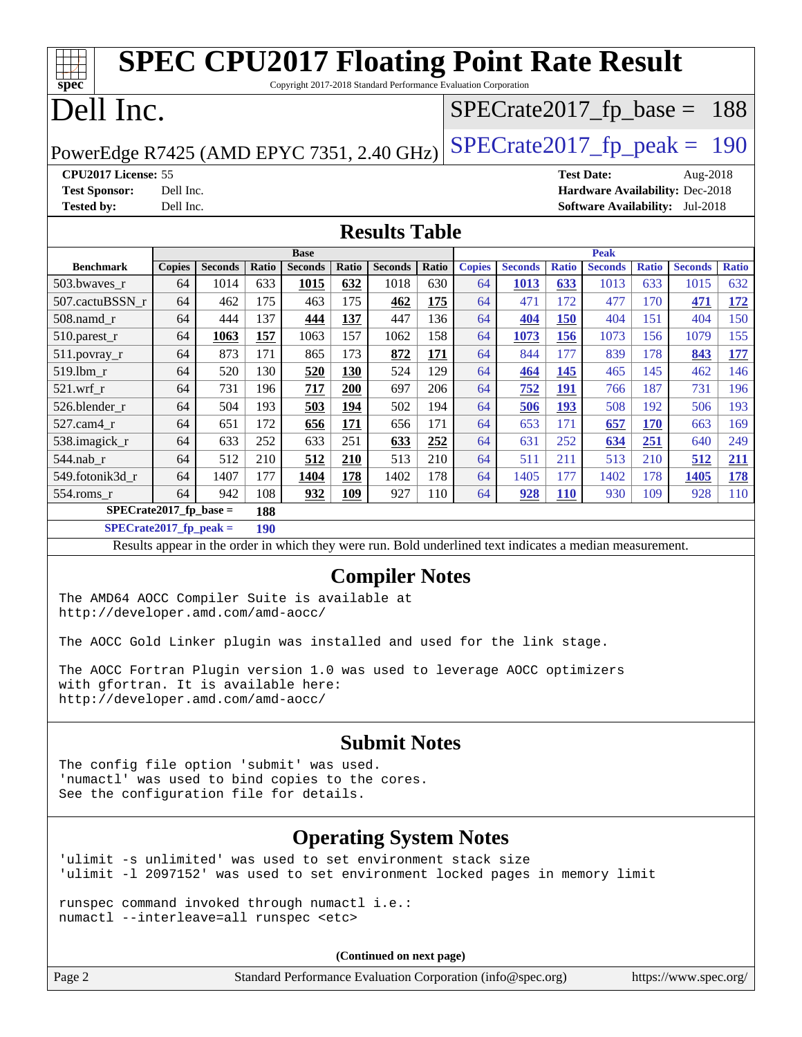| <b>SPEC CPU2017 Floating Point Rate Result</b><br>Copyright 2017-2018 Standard Performance Evaluation Corporation<br>spec <sup>®</sup>                                                                                                                                                                     |                                                                                      |                |            |                |            |                                                                                                          |            |               |                |              |                   |              |                                        |                   |
|------------------------------------------------------------------------------------------------------------------------------------------------------------------------------------------------------------------------------------------------------------------------------------------------------------|--------------------------------------------------------------------------------------|----------------|------------|----------------|------------|----------------------------------------------------------------------------------------------------------|------------|---------------|----------------|--------------|-------------------|--------------|----------------------------------------|-------------------|
| Dell Inc.<br>$SPECrate2017_fp\_base = 188$                                                                                                                                                                                                                                                                 |                                                                                      |                |            |                |            |                                                                                                          |            |               |                |              |                   |              |                                        |                   |
| $SPECTate2017$ _fp_peak =<br>190<br>PowerEdge R7425 (AMD EPYC 7351, 2.40 GHz)                                                                                                                                                                                                                              |                                                                                      |                |            |                |            |                                                                                                          |            |               |                |              |                   |              |                                        |                   |
| CPU2017 License: 55                                                                                                                                                                                                                                                                                        |                                                                                      |                |            |                |            |                                                                                                          |            |               |                |              | <b>Test Date:</b> |              | Aug-2018                               |                   |
| <b>Test Sponsor:</b>                                                                                                                                                                                                                                                                                       | Dell Inc.                                                                            |                |            |                |            |                                                                                                          |            |               |                |              |                   |              | Hardware Availability: Dec-2018        |                   |
| <b>Tested by:</b>                                                                                                                                                                                                                                                                                          | Dell Inc.                                                                            |                |            |                |            |                                                                                                          |            |               |                |              |                   |              | <b>Software Availability:</b> Jul-2018 |                   |
|                                                                                                                                                                                                                                                                                                            |                                                                                      |                |            |                |            | <b>Results Table</b>                                                                                     |            |               |                |              |                   |              |                                        |                   |
| <b>Peak</b><br><b>Base</b>                                                                                                                                                                                                                                                                                 |                                                                                      |                |            |                |            |                                                                                                          |            |               |                |              |                   |              |                                        |                   |
| <b>Benchmark</b>                                                                                                                                                                                                                                                                                           | <b>Copies</b>                                                                        | <b>Seconds</b> | Ratio      | <b>Seconds</b> | Ratio      | <b>Seconds</b>                                                                                           | Ratio      | <b>Copies</b> | <b>Seconds</b> | <b>Ratio</b> | <b>Seconds</b>    | <b>Ratio</b> | <b>Seconds</b>                         | <b>Ratio</b>      |
| 503.bwaves_r                                                                                                                                                                                                                                                                                               | 64                                                                                   | 1014           | 633        | 1015           | 632        | 1018                                                                                                     | 630        | 64            | 1013           | 633          | 1013              | 633          | 1015                                   | 632               |
| 507.cactuBSSN r                                                                                                                                                                                                                                                                                            | 64                                                                                   | 462            | 175        | 463            | 175        | 462                                                                                                      | 175        | 64            | 471            | 172          | 477               | 170          | 471                                    | 172               |
| $508$ .namd_r                                                                                                                                                                                                                                                                                              | 64                                                                                   | 444            | 137        | 444            | 137        | 447                                                                                                      | 136        | 64            | 404            | 150          | 404               | 151          | 404                                    | 150               |
| 510.parest_r                                                                                                                                                                                                                                                                                               | 64                                                                                   | 1063           | 157        | 1063           | 157        | 1062                                                                                                     | 158        | 64<br>64      | 1073<br>844    | 156<br>177   | 1073              | 156<br>178   | 1079                                   | 155               |
| $511.povray_r$<br>519.1bm_r                                                                                                                                                                                                                                                                                | 64<br>64                                                                             | 873<br>520     | 171<br>130 | 865<br>520     | 173<br>130 | 872<br>524                                                                                               | 171<br>129 | 64            | 464            | <u>145</u>   | 839<br>465        | 145          | 843<br>462                             | <b>177</b><br>146 |
| 521.wrf                                                                                                                                                                                                                                                                                                    | 64                                                                                   | 731            | 196        | 717            | 200        | 697                                                                                                      | 206        | 64            | 752            | <b>191</b>   | 766               | 187          | 731                                    | 196               |
| 526.blender_r                                                                                                                                                                                                                                                                                              | 64                                                                                   | 504            | 193        | 503            | 194        | 502                                                                                                      | 194        | 64            | 506            | <b>193</b>   | 508               | 192          | 506                                    | 193               |
| 527.cam4_r                                                                                                                                                                                                                                                                                                 | 64                                                                                   | 651            | 172        | 656            | 171        | 656                                                                                                      | 171        | 64            | 653            | 171          | 657               | <b>170</b>   | 663                                    | 169               |
| 538.imagick_r                                                                                                                                                                                                                                                                                              | 64                                                                                   | 633            | 252        | 633            | 251        | 633                                                                                                      | 252        | 64            | 631            | 252          | 634               | 251          | 640                                    | 249               |
| 544.nab_r                                                                                                                                                                                                                                                                                                  | 64                                                                                   | 512            | 210        | 512            | 210        | 513                                                                                                      | 210        | 64            | 511            | 211          | 513               | 210          | 512                                    | 211               |
| 549.fotonik3d r                                                                                                                                                                                                                                                                                            | 64                                                                                   | 1407           | 177        | 1404           | 178        | 1402                                                                                                     | 178        | 64            | 1405           | 177          | 1402              | 178          | 1405                                   | 178               |
| 554.roms_r                                                                                                                                                                                                                                                                                                 | 64                                                                                   | 942            | 108        | 932            | 109        | 927                                                                                                      | 110        | 64            | 928            | <b>110</b>   | 930               | 109          | 928                                    | 110               |
| $SPECrate2017_fp\_base =$                                                                                                                                                                                                                                                                                  |                                                                                      |                | 188        |                |            |                                                                                                          |            |               |                |              |                   |              |                                        |                   |
| $SPECrate2017_fp_peak =$                                                                                                                                                                                                                                                                                   |                                                                                      |                | 190        |                |            |                                                                                                          |            |               |                |              |                   |              |                                        |                   |
|                                                                                                                                                                                                                                                                                                            |                                                                                      |                |            |                |            | Results appear in the order in which they were run. Bold underlined text indicates a median measurement. |            |               |                |              |                   |              |                                        |                   |
| <b>Compiler Notes</b><br>The AMD64 AOCC Compiler Suite is available at<br>http://developer.amd.com/amd-aocc/<br>The AOCC Gold Linker plugin was installed and used for the link stage.<br>The AOCC Fortran Plugin version 1.0 was used to leverage AOCC optimizers<br>with gfortran. It is available here: |                                                                                      |                |            |                |            |                                                                                                          |            |               |                |              |                   |              |                                        |                   |
| http://developer.amd.com/amd-aocc/                                                                                                                                                                                                                                                                         |                                                                                      |                |            |                |            |                                                                                                          |            |               |                |              |                   |              |                                        |                   |
| <b>Submit Notes</b><br>The config file option 'submit' was used.<br>'numactl' was used to bind copies to the cores.<br>See the configuration file for details.                                                                                                                                             |                                                                                      |                |            |                |            |                                                                                                          |            |               |                |              |                   |              |                                        |                   |
| <b>Operating System Notes</b>                                                                                                                                                                                                                                                                              |                                                                                      |                |            |                |            |                                                                                                          |            |               |                |              |                   |              |                                        |                   |
| 'ulimit -s unlimited' was used to set environment stack size<br>'ulimit -1 2097152' was used to set environment locked pages in memory limit                                                                                                                                                               |                                                                                      |                |            |                |            |                                                                                                          |            |               |                |              |                   |              |                                        |                   |
| runspec command invoked through numactl i.e.:<br>numactl --interleave=all runspec <etc></etc>                                                                                                                                                                                                              |                                                                                      |                |            |                |            |                                                                                                          |            |               |                |              |                   |              |                                        |                   |
|                                                                                                                                                                                                                                                                                                            |                                                                                      |                |            |                |            | (Continued on next page)                                                                                 |            |               |                |              |                   |              |                                        |                   |
| Page 2                                                                                                                                                                                                                                                                                                     | https://www.spec.org/<br>Standard Performance Evaluation Corporation (info@spec.org) |                |            |                |            |                                                                                                          |            |               |                |              |                   |              |                                        |                   |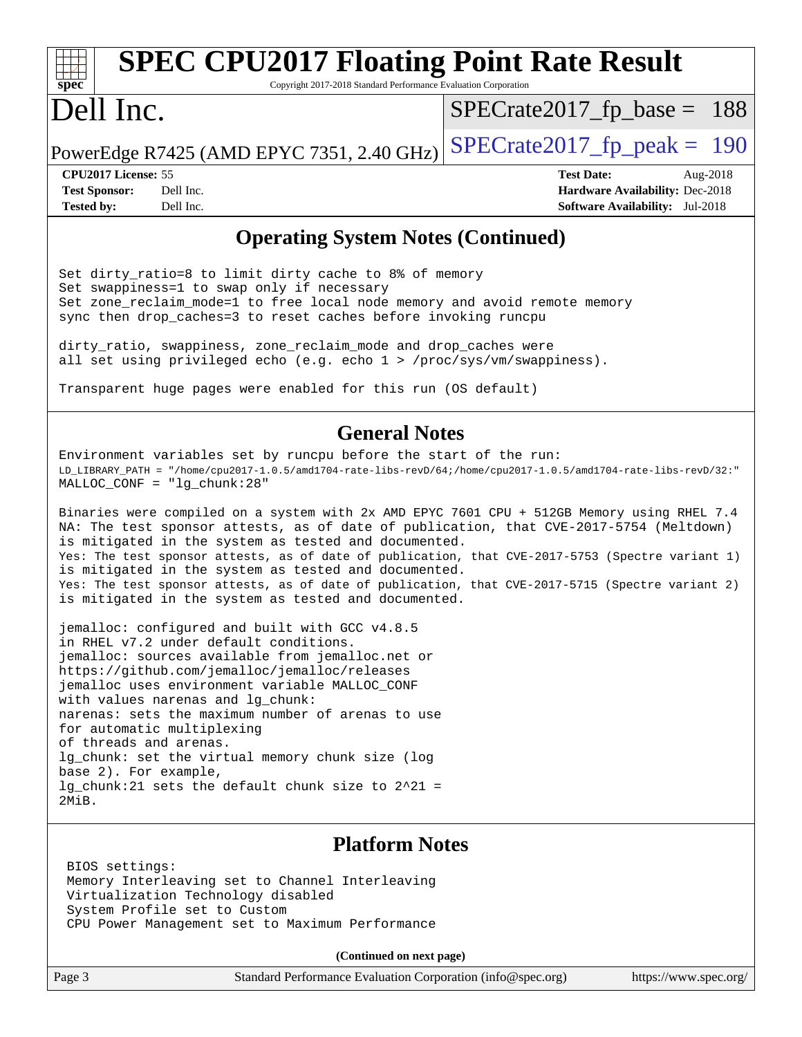#### **[spec](http://www.spec.org/) [SPEC CPU2017 Floating Point Rate Result](http://www.spec.org/auto/cpu2017/Docs/result-fields.html#SPECCPU2017FloatingPointRateResult)** Copyright 2017-2018 Standard Performance Evaluation Corporation Dell Inc. PowerEdge R7425 (AMD EPYC 7351, 2.40 GHz)  $\text{SPECrate2017\_fp\_peak} = 190$ [SPECrate2017\\_fp\\_base =](http://www.spec.org/auto/cpu2017/Docs/result-fields.html#SPECrate2017fpbase) 188

**[CPU2017 License:](http://www.spec.org/auto/cpu2017/Docs/result-fields.html#CPU2017License)** 55 **[Test Date:](http://www.spec.org/auto/cpu2017/Docs/result-fields.html#TestDate)** Aug-2018 **[Test Sponsor:](http://www.spec.org/auto/cpu2017/Docs/result-fields.html#TestSponsor)** Dell Inc. **[Hardware Availability:](http://www.spec.org/auto/cpu2017/Docs/result-fields.html#HardwareAvailability)** Dec-2018 **[Tested by:](http://www.spec.org/auto/cpu2017/Docs/result-fields.html#Testedby)** Dell Inc. **[Software Availability:](http://www.spec.org/auto/cpu2017/Docs/result-fields.html#SoftwareAvailability)** Jul-2018

### **[Operating System Notes \(Continued\)](http://www.spec.org/auto/cpu2017/Docs/result-fields.html#OperatingSystemNotes)**

Set dirty\_ratio=8 to limit dirty cache to 8% of memory Set swappiness=1 to swap only if necessary Set zone\_reclaim\_mode=1 to free local node memory and avoid remote memory sync then drop\_caches=3 to reset caches before invoking runcpu

dirty\_ratio, swappiness, zone\_reclaim\_mode and drop\_caches were all set using privileged echo (e.g. echo 1 > /proc/sys/vm/swappiness).

Transparent huge pages were enabled for this run (OS default)

#### **[General Notes](http://www.spec.org/auto/cpu2017/Docs/result-fields.html#GeneralNotes)**

Environment variables set by runcpu before the start of the run: LD\_LIBRARY\_PATH = "/home/cpu2017-1.0.5/amd1704-rate-libs-revD/64;/home/cpu2017-1.0.5/amd1704-rate-libs-revD/32:" MALLOC\_CONF = "lg\_chunk:28"

Binaries were compiled on a system with 2x AMD EPYC 7601 CPU + 512GB Memory using RHEL 7.4 NA: The test sponsor attests, as of date of publication, that CVE-2017-5754 (Meltdown) is mitigated in the system as tested and documented. Yes: The test sponsor attests, as of date of publication, that CVE-2017-5753 (Spectre variant 1) is mitigated in the system as tested and documented. Yes: The test sponsor attests, as of date of publication, that CVE-2017-5715 (Spectre variant 2) is mitigated in the system as tested and documented.

jemalloc: configured and built with GCC v4.8.5 in RHEL v7.2 under default conditions. jemalloc: sources available from jemalloc.net or <https://github.com/jemalloc/jemalloc/releases> jemalloc uses environment variable MALLOC\_CONF with values narenas and lg chunk: narenas: sets the maximum number of arenas to use for automatic multiplexing of threads and arenas. lg\_chunk: set the virtual memory chunk size (log base 2). For example, lg chunk:21 sets the default chunk size to  $2^21$  = 2MiB.

### **[Platform Notes](http://www.spec.org/auto/cpu2017/Docs/result-fields.html#PlatformNotes)**

 BIOS settings: Memory Interleaving set to Channel Interleaving Virtualization Technology disabled System Profile set to Custom CPU Power Management set to Maximum Performance

**(Continued on next page)**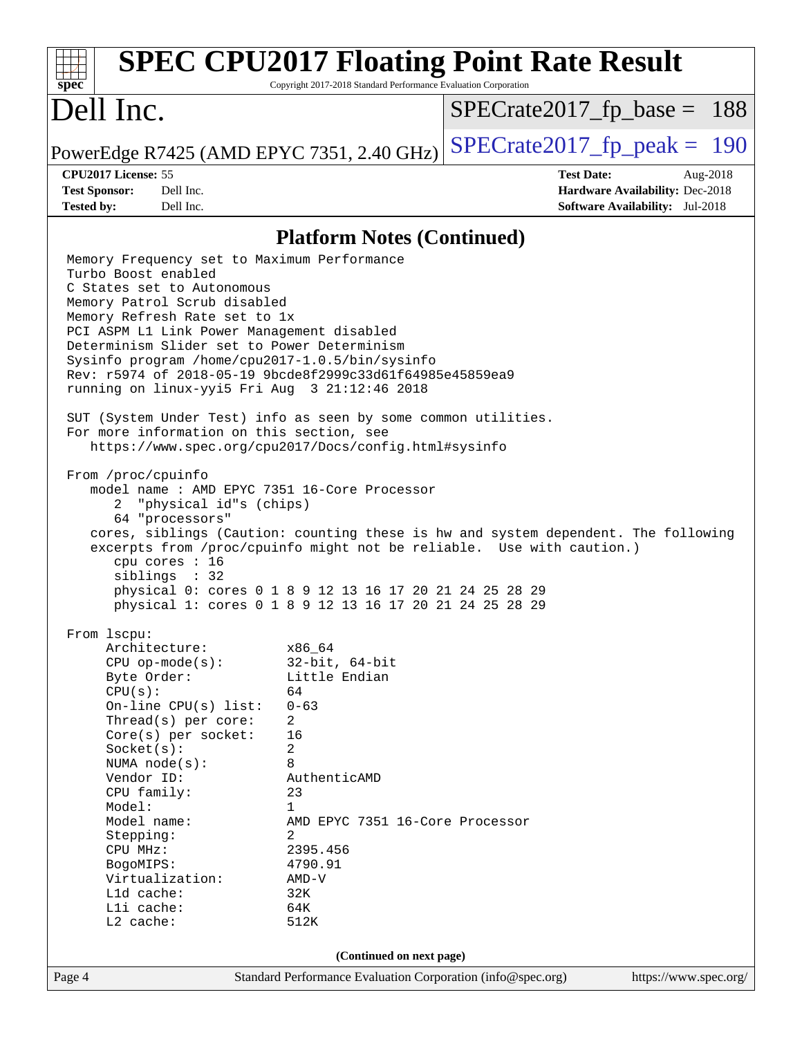| <b>SPEC CPU2017 Floating Point Rate Result</b><br>spec <sup>®</sup>                                                                                                                                                                                                                                                                                                                                                                                                                                                                                                                                                                                                                                                                                                                                                                                                                                                                                                                                                                                                   | Copyright 2017-2018 Standard Performance Evaluation Corporation                                                                                                                                                              |                               |                   |                                                                           |          |
|-----------------------------------------------------------------------------------------------------------------------------------------------------------------------------------------------------------------------------------------------------------------------------------------------------------------------------------------------------------------------------------------------------------------------------------------------------------------------------------------------------------------------------------------------------------------------------------------------------------------------------------------------------------------------------------------------------------------------------------------------------------------------------------------------------------------------------------------------------------------------------------------------------------------------------------------------------------------------------------------------------------------------------------------------------------------------|------------------------------------------------------------------------------------------------------------------------------------------------------------------------------------------------------------------------------|-------------------------------|-------------------|---------------------------------------------------------------------------|----------|
| Dell Inc.                                                                                                                                                                                                                                                                                                                                                                                                                                                                                                                                                                                                                                                                                                                                                                                                                                                                                                                                                                                                                                                             |                                                                                                                                                                                                                              | $SPECrate2017_fp\_base = 188$ |                   |                                                                           |          |
| PowerEdge R7425 (AMD EPYC 7351, 2.40 GHz)                                                                                                                                                                                                                                                                                                                                                                                                                                                                                                                                                                                                                                                                                                                                                                                                                                                                                                                                                                                                                             |                                                                                                                                                                                                                              | $SPECTate2017$ fp peak = 190  |                   |                                                                           |          |
| CPU2017 License: 55<br><b>Test Sponsor:</b><br>Dell Inc.<br>Dell Inc.<br><b>Tested by:</b>                                                                                                                                                                                                                                                                                                                                                                                                                                                                                                                                                                                                                                                                                                                                                                                                                                                                                                                                                                            |                                                                                                                                                                                                                              |                               | <b>Test Date:</b> | Hardware Availability: Dec-2018<br><b>Software Availability:</b> Jul-2018 | Aug-2018 |
|                                                                                                                                                                                                                                                                                                                                                                                                                                                                                                                                                                                                                                                                                                                                                                                                                                                                                                                                                                                                                                                                       | <b>Platform Notes (Continued)</b>                                                                                                                                                                                            |                               |                   |                                                                           |          |
| Memory Frequency set to Maximum Performance<br>Turbo Boost enabled<br>C States set to Autonomous<br>Memory Patrol Scrub disabled<br>Memory Refresh Rate set to 1x<br>PCI ASPM L1 Link Power Management disabled<br>Determinism Slider set to Power Determinism<br>Sysinfo program /home/cpu2017-1.0.5/bin/sysinfo<br>Rev: r5974 of 2018-05-19 9bcde8f2999c33d61f64985e45859ea9<br>running on linux-yyi5 Fri Aug 3 21:12:46 2018<br>SUT (System Under Test) info as seen by some common utilities.<br>For more information on this section, see<br>https://www.spec.org/cpu2017/Docs/config.html#sysinfo<br>From /proc/cpuinfo<br>model name: AMD EPYC 7351 16-Core Processor<br>"physical id"s (chips)<br>2<br>64 "processors"<br>cores, siblings (Caution: counting these is hw and system dependent. The following<br>excerpts from /proc/cpuinfo might not be reliable. Use with caution.)<br>cpu cores : 16<br>siblings : 32<br>physical 0: cores 0 1 8 9 12 13 16 17 20 21 24 25 28 29<br>physical 1: cores 0 1 8 9 12 13 16 17 20 21 24 25 28 29<br>From 1scpu: |                                                                                                                                                                                                                              |                               |                   |                                                                           |          |
| Architecture:<br>$CPU$ op-mode( $s$ ):<br>Byte Order:<br>CPU(s):<br>On-line CPU(s) list:<br>Thread( $s$ ) per core:<br>$Core(s)$ per socket:<br>Socket(s):<br>NUMA node(s):<br>Vendor ID:<br>CPU family:<br>Model:<br>Model name:<br>Stepping:<br>CPU MHz:<br>BogoMIPS:<br>Virtualization:<br>L1d cache:<br>Lli cache:<br>L2 cache:                                                                                                                                                                                                                                                                                                                                                                                                                                                                                                                                                                                                                                                                                                                                   | x86 64<br>$32$ -bit, $64$ -bit<br>Little Endian<br>64<br>$0 - 63$<br>2<br>16<br>2<br>8<br>AuthenticAMD<br>23<br>$\mathbf{1}$<br>AMD EPYC 7351 16-Core Processor<br>2<br>2395.456<br>4790.91<br>$AMD-V$<br>32K<br>64K<br>512K |                               |                   |                                                                           |          |
| Page 4                                                                                                                                                                                                                                                                                                                                                                                                                                                                                                                                                                                                                                                                                                                                                                                                                                                                                                                                                                                                                                                                | (Continued on next page)<br>Standard Performance Evaluation Corporation (info@spec.org)                                                                                                                                      |                               |                   | https://www.spec.org/                                                     |          |
|                                                                                                                                                                                                                                                                                                                                                                                                                                                                                                                                                                                                                                                                                                                                                                                                                                                                                                                                                                                                                                                                       |                                                                                                                                                                                                                              |                               |                   |                                                                           |          |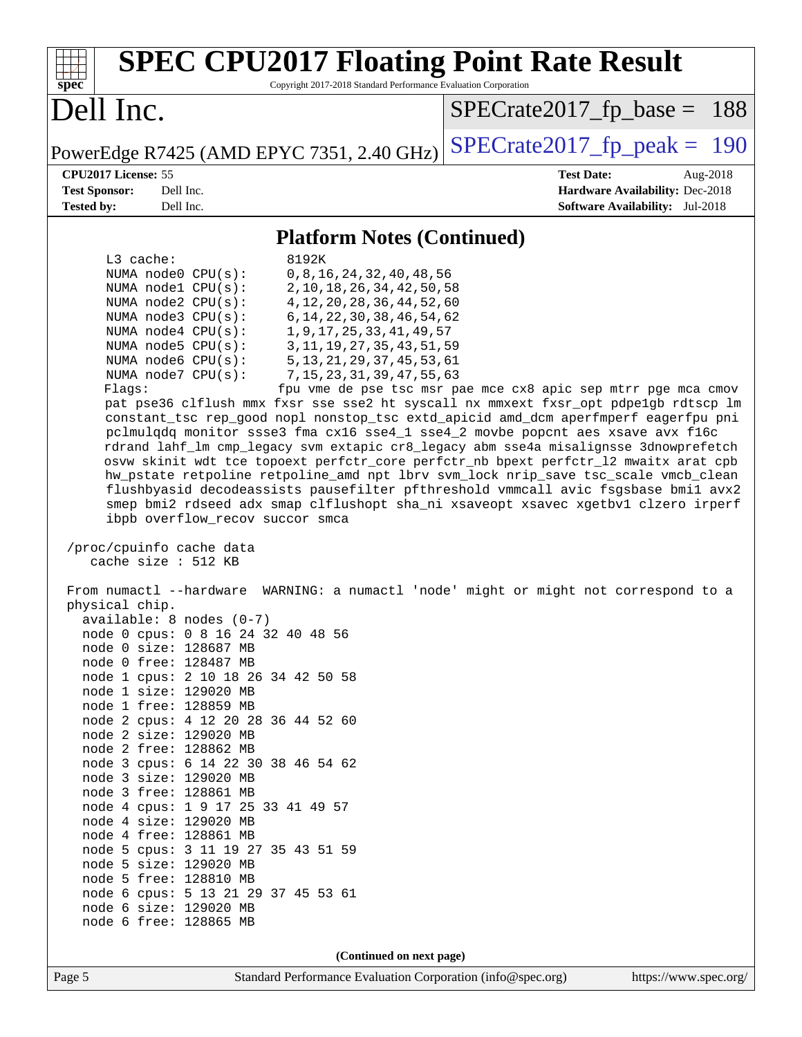| <b>SPEC CPU2017 Floating Point Rate Result</b><br>Copyright 2017-2018 Standard Performance Evaluation Corporation<br>spec                                                                                                                                                                                                                                                                                                                                                                                                                                                                                                                                                                                                                                                                                                                                                                                                                                                                                                                                                                                                                                                                                                                                                                                                                                                                                                                                                                                                                                                                                                                                                                                                                                                                                                                                                                                                                                                                                                                                                                       |                                                                                                            |
|-------------------------------------------------------------------------------------------------------------------------------------------------------------------------------------------------------------------------------------------------------------------------------------------------------------------------------------------------------------------------------------------------------------------------------------------------------------------------------------------------------------------------------------------------------------------------------------------------------------------------------------------------------------------------------------------------------------------------------------------------------------------------------------------------------------------------------------------------------------------------------------------------------------------------------------------------------------------------------------------------------------------------------------------------------------------------------------------------------------------------------------------------------------------------------------------------------------------------------------------------------------------------------------------------------------------------------------------------------------------------------------------------------------------------------------------------------------------------------------------------------------------------------------------------------------------------------------------------------------------------------------------------------------------------------------------------------------------------------------------------------------------------------------------------------------------------------------------------------------------------------------------------------------------------------------------------------------------------------------------------------------------------------------------------------------------------------------------------|------------------------------------------------------------------------------------------------------------|
| Dell Inc.                                                                                                                                                                                                                                                                                                                                                                                                                                                                                                                                                                                                                                                                                                                                                                                                                                                                                                                                                                                                                                                                                                                                                                                                                                                                                                                                                                                                                                                                                                                                                                                                                                                                                                                                                                                                                                                                                                                                                                                                                                                                                       | $SPECrate2017_fp\_base = 188$                                                                              |
| PowerEdge R7425 (AMD EPYC 7351, 2.40 GHz)                                                                                                                                                                                                                                                                                                                                                                                                                                                                                                                                                                                                                                                                                                                                                                                                                                                                                                                                                                                                                                                                                                                                                                                                                                                                                                                                                                                                                                                                                                                                                                                                                                                                                                                                                                                                                                                                                                                                                                                                                                                       | $SPECTate2017$ _fp_peak = 190                                                                              |
| CPU2017 License: 55<br><b>Test Sponsor:</b><br>Dell Inc.<br>Dell Inc.<br><b>Tested by:</b>                                                                                                                                                                                                                                                                                                                                                                                                                                                                                                                                                                                                                                                                                                                                                                                                                                                                                                                                                                                                                                                                                                                                                                                                                                                                                                                                                                                                                                                                                                                                                                                                                                                                                                                                                                                                                                                                                                                                                                                                      | <b>Test Date:</b><br>Aug-2018<br>Hardware Availability: Dec-2018<br><b>Software Availability:</b> Jul-2018 |
| <b>Platform Notes (Continued)</b>                                                                                                                                                                                                                                                                                                                                                                                                                                                                                                                                                                                                                                                                                                                                                                                                                                                                                                                                                                                                                                                                                                                                                                                                                                                                                                                                                                                                                                                                                                                                                                                                                                                                                                                                                                                                                                                                                                                                                                                                                                                               |                                                                                                            |
| L3 cache:<br>8192K<br>NUMA node0 CPU(s):<br>0, 8, 16, 24, 32, 40, 48, 56<br>NUMA nodel CPU(s):<br>2, 10, 18, 26, 34, 42, 50, 58<br>4, 12, 20, 28, 36, 44, 52, 60<br>NUMA node2 CPU(s):<br>NUMA node3 CPU(s):<br>6, 14, 22, 30, 38, 46, 54, 62<br>NUMA $node4$ $CPU(s)$ :<br>1, 9, 17, 25, 33, 41, 49, 57<br>NUMA node5 CPU(s):<br>3, 11, 19, 27, 35, 43, 51, 59<br>NUMA node6 CPU(s):<br>5, 13, 21, 29, 37, 45, 53, 61<br>NUMA node7 CPU(s):<br>7, 15, 23, 31, 39, 47, 55, 63<br>Flags:<br>pat pse36 clflush mmx fxsr sse sse2 ht syscall nx mmxext fxsr_opt pdpe1gb rdtscp lm<br>constant_tsc rep_good nopl nonstop_tsc extd_apicid amd_dcm aperfmperf eagerfpu pni<br>pclmulqdq monitor ssse3 fma cx16 sse4_1 sse4_2 movbe popcnt aes xsave avx f16c<br>rdrand lahf_lm cmp_legacy svm extapic cr8_legacy abm sse4a misalignsse 3dnowprefetch<br>osvw skinit wdt tce topoext perfctr_core perfctr_nb bpext perfctr_12 mwaitx arat cpb<br>hw_pstate retpoline retpoline_amd npt lbrv svm_lock nrip_save tsc_scale vmcb_clean<br>flushbyasid decodeassists pausefilter pfthreshold vmmcall avic fsgsbase bmil avx2<br>smep bmi2 rdseed adx smap clflushopt sha_ni xsaveopt xsavec xgetbvl clzero irperf<br>ibpb overflow_recov succor smca<br>/proc/cpuinfo cache data<br>cache size : 512 KB<br>From numactl --hardware WARNING: a numactl 'node' might or might not correspond to a<br>physical chip.<br>$available: 8 nodes (0-7)$<br>node 0 cpus: 0 8 16 24 32 40 48 56<br>node 0 size: 128687 MB<br>node 0 free: 128487 MB<br>node 1 cpus: 2 10 18 26 34 42 50 58<br>node 1 size: 129020 MB<br>node 1 free: 128859 MB<br>node 2 cpus: 4 12 20 28 36 44 52 60<br>node 2 size: 129020 MB<br>node 2 free: 128862 MB<br>node 3 cpus: 6 14 22 30 38 46 54 62<br>node 3 size: 129020 MB<br>node 3 free: 128861 MB<br>node 4 cpus: 1 9 17 25 33 41 49 57<br>node 4 size: 129020 MB<br>node 4 free: 128861 MB<br>node 5 cpus: 3 11 19 27 35 43 51 59<br>node 5 size: 129020 MB<br>node 5 free: 128810 MB<br>node 6 cpus: 5 13 21 29 37 45 53 61<br>node 6 size: 129020 MB<br>node 6 free: 128865 MB | fpu vme de pse tsc msr pae mce cx8 apic sep mtrr pge mca cmov                                              |
| (Continued on next page)                                                                                                                                                                                                                                                                                                                                                                                                                                                                                                                                                                                                                                                                                                                                                                                                                                                                                                                                                                                                                                                                                                                                                                                                                                                                                                                                                                                                                                                                                                                                                                                                                                                                                                                                                                                                                                                                                                                                                                                                                                                                        |                                                                                                            |
| Page 5<br>Standard Performance Evaluation Corporation (info@spec.org)                                                                                                                                                                                                                                                                                                                                                                                                                                                                                                                                                                                                                                                                                                                                                                                                                                                                                                                                                                                                                                                                                                                                                                                                                                                                                                                                                                                                                                                                                                                                                                                                                                                                                                                                                                                                                                                                                                                                                                                                                           | https://www.spec.org/                                                                                      |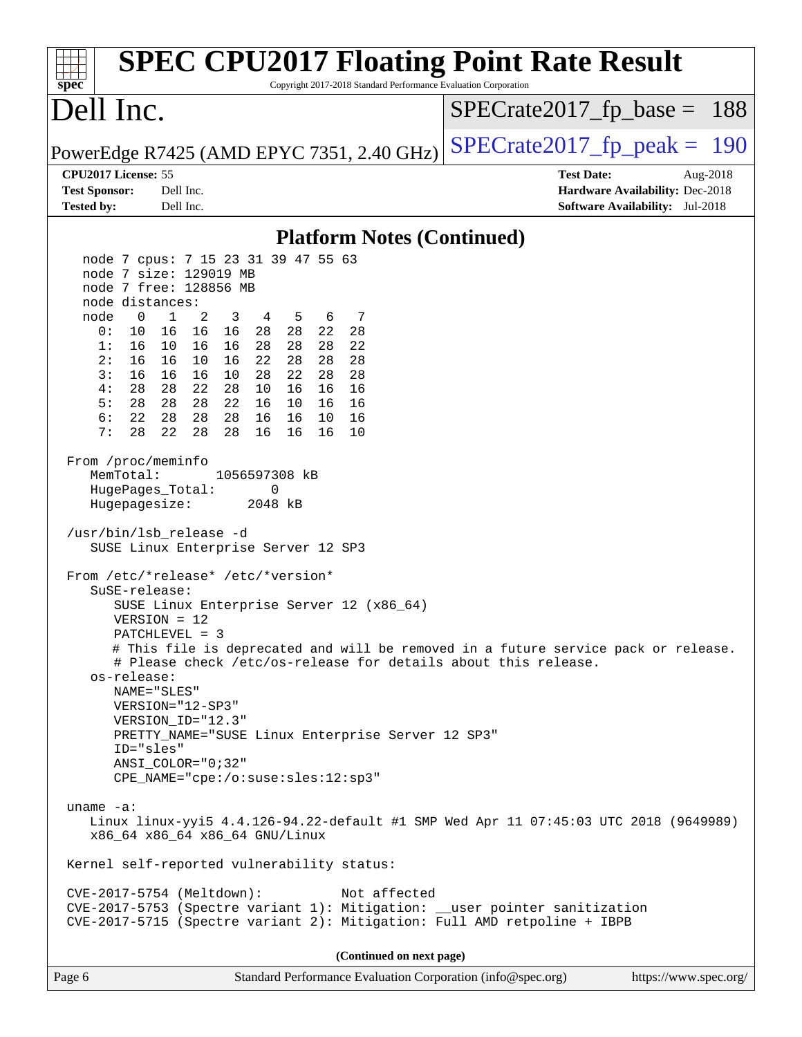| <b>SPEC CPU2017 Floating Point Rate Result</b><br>Copyright 2017-2018 Standard Performance Evaluation Corporation<br>spec <sup>®</sup>                                                                                                                                                                                                                                                                                                                                                                                                                                                                                                                                                                                                                                                                                                                                                                                                                                                                                                                                                                                                                                                                                                                                                                                                                                                                                                                                                                                                                                                                                                                                                 |                                                                                                               |
|----------------------------------------------------------------------------------------------------------------------------------------------------------------------------------------------------------------------------------------------------------------------------------------------------------------------------------------------------------------------------------------------------------------------------------------------------------------------------------------------------------------------------------------------------------------------------------------------------------------------------------------------------------------------------------------------------------------------------------------------------------------------------------------------------------------------------------------------------------------------------------------------------------------------------------------------------------------------------------------------------------------------------------------------------------------------------------------------------------------------------------------------------------------------------------------------------------------------------------------------------------------------------------------------------------------------------------------------------------------------------------------------------------------------------------------------------------------------------------------------------------------------------------------------------------------------------------------------------------------------------------------------------------------------------------------|---------------------------------------------------------------------------------------------------------------|
| Dell Inc.                                                                                                                                                                                                                                                                                                                                                                                                                                                                                                                                                                                                                                                                                                                                                                                                                                                                                                                                                                                                                                                                                                                                                                                                                                                                                                                                                                                                                                                                                                                                                                                                                                                                              | $SPECrate2017rfp base = 188$                                                                                  |
| PowerEdge R7425 (AMD EPYC 7351, 2.40 GHz)                                                                                                                                                                                                                                                                                                                                                                                                                                                                                                                                                                                                                                                                                                                                                                                                                                                                                                                                                                                                                                                                                                                                                                                                                                                                                                                                                                                                                                                                                                                                                                                                                                              | $SPECrate2017_fp\_peak = 190$                                                                                 |
| CPU2017 License: 55<br><b>Test Sponsor:</b><br>Dell Inc.<br>Dell Inc.<br><b>Tested by:</b>                                                                                                                                                                                                                                                                                                                                                                                                                                                                                                                                                                                                                                                                                                                                                                                                                                                                                                                                                                                                                                                                                                                                                                                                                                                                                                                                                                                                                                                                                                                                                                                             | <b>Test Date:</b><br>Aug- $2018$<br>Hardware Availability: Dec-2018<br><b>Software Availability:</b> Jul-2018 |
| <b>Platform Notes (Continued)</b>                                                                                                                                                                                                                                                                                                                                                                                                                                                                                                                                                                                                                                                                                                                                                                                                                                                                                                                                                                                                                                                                                                                                                                                                                                                                                                                                                                                                                                                                                                                                                                                                                                                      |                                                                                                               |
| node 7 cpus: 7 15 23 31 39 47 55 63<br>node 7 size: 129019 MB<br>node 7 free: 128856 MB<br>node distances:<br>$\mathbf{0}$<br>2<br>node<br>1<br>3<br>4<br>5<br>6<br>7<br>0:<br>10<br>16 16<br>16<br>28 28<br>22<br>28<br>1:<br>16<br>10 16<br>28<br>28<br>22<br>16<br>28<br>16<br>28<br>2:<br>16<br>10<br>16<br>22<br>28<br>28<br>16<br>10<br>22<br>28<br>28<br>3:<br>16<br>16<br>28<br>4:<br>28<br>22<br>28<br>28<br>10<br>16<br>16<br>16<br>28 28 22<br>5:<br>28<br>16 10 16<br>16<br>6:<br>22<br>28<br>28<br>28<br>16<br>16<br>10<br>16<br>7:<br>28<br>22<br>28<br>28<br>16<br>16<br>16<br>10<br>From /proc/meminfo<br>MemTotal:<br>1056597308 kB<br>HugePages_Total:<br>0<br>Hugepagesize:<br>2048 kB<br>/usr/bin/lsb_release -d<br>SUSE Linux Enterprise Server 12 SP3<br>From /etc/*release* /etc/*version*<br>$S$ uSE-release:<br>SUSE Linux Enterprise Server 12 (x86_64)<br>$VERSION = 12$<br>PATCHLEVEL = 3<br># This file is deprecated and will be removed in a future service pack or release.<br># Please check /etc/os-release for details about this release.<br>os-release:<br>NAME="SLES"<br>VERSION="12-SP3"<br>VERSION_ID="12.3"<br>PRETTY_NAME="SUSE Linux Enterprise Server 12 SP3"<br>ID="sles"<br>$ANSI\_COLOR = "0; 32"$<br>CPE_NAME="cpe:/o:suse:sles:12:sp3"<br>uname $-a$ :<br>Linux linux-yyi5 4.4.126-94.22-default #1 SMP Wed Apr 11 07:45:03 UTC 2018 (9649989)<br>x86_64 x86_64 x86_64 GNU/Linux<br>Kernel self-reported vulnerability status:<br>CVE-2017-5754 (Meltdown):<br>Not affected<br>CVE-2017-5753 (Spectre variant 1): Mitigation: __user pointer sanitization<br>CVE-2017-5715 (Spectre variant 2): Mitigation: Full AMD retpoline + IBPB |                                                                                                               |
| (Continued on next page)                                                                                                                                                                                                                                                                                                                                                                                                                                                                                                                                                                                                                                                                                                                                                                                                                                                                                                                                                                                                                                                                                                                                                                                                                                                                                                                                                                                                                                                                                                                                                                                                                                                               |                                                                                                               |
| Page 6<br>Standard Performance Evaluation Corporation (info@spec.org)                                                                                                                                                                                                                                                                                                                                                                                                                                                                                                                                                                                                                                                                                                                                                                                                                                                                                                                                                                                                                                                                                                                                                                                                                                                                                                                                                                                                                                                                                                                                                                                                                  | https://www.spec.org/                                                                                         |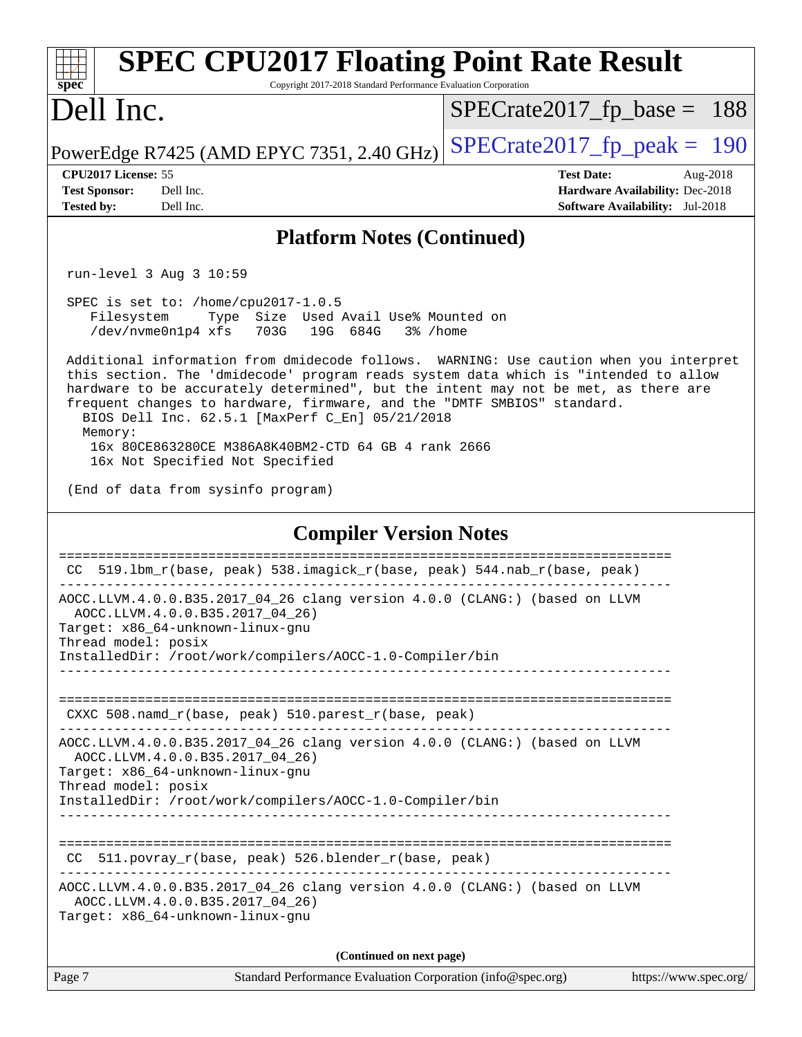| <b>SPEC CPU2017 Floating Point Rate Result</b><br>Copyright 2017-2018 Standard Performance Evaluation Corporation<br>spec <sup>®</sup>                                                                                                                                                                             |                                                                                                            |
|--------------------------------------------------------------------------------------------------------------------------------------------------------------------------------------------------------------------------------------------------------------------------------------------------------------------|------------------------------------------------------------------------------------------------------------|
| Dell Inc.                                                                                                                                                                                                                                                                                                          | $SPECrate2017_fp\_base = 188$                                                                              |
| PowerEdge R7425 (AMD EPYC 7351, 2.40 GHz)                                                                                                                                                                                                                                                                          | $SPECrate2017_fp\_peak = 190$                                                                              |
| CPU2017 License: 55<br>Dell Inc.<br><b>Test Sponsor:</b><br>Dell Inc.<br><b>Tested by:</b>                                                                                                                                                                                                                         | <b>Test Date:</b><br>Aug-2018<br>Hardware Availability: Dec-2018<br><b>Software Availability:</b> Jul-2018 |
| <b>Platform Notes (Continued)</b>                                                                                                                                                                                                                                                                                  |                                                                                                            |
| run-level 3 Aug 3 10:59                                                                                                                                                                                                                                                                                            |                                                                                                            |
| SPEC is set to: /home/cpu2017-1.0.5<br>Type Size Used Avail Use% Mounted on<br>Filesystem<br>/dev/nvme0n1p4 xfs 703G 19G 684G<br>3% /home<br>Additional information from dmidecode follows. WARNING: Use caution when you interpret                                                                                |                                                                                                            |
| this section. The 'dmidecode' program reads system data which is "intended to allow<br>hardware to be accurately determined", but the intent may not be met, as there are<br>frequent changes to hardware, firmware, and the "DMTF SMBIOS" standard.<br>BIOS Dell Inc. 62.5.1 [MaxPerf C_En] 05/21/2018<br>Memory: |                                                                                                            |
| 16x 80CE863280CE M386A8K40BM2-CTD 64 GB 4 rank 2666<br>16x Not Specified Not Specified                                                                                                                                                                                                                             |                                                                                                            |
| (End of data from sysinfo program)                                                                                                                                                                                                                                                                                 |                                                                                                            |
| <b>Compiler Version Notes</b>                                                                                                                                                                                                                                                                                      |                                                                                                            |
| CC 519.1bm_r(base, peak) 538.imagick_r(base, peak) 544.nab_r(base, peak)                                                                                                                                                                                                                                           |                                                                                                            |
| AOCC.LLVM.4.0.0.B35.2017_04_26 clang version 4.0.0 (CLANG:) (based on LLVM<br>AOCC.LLVM.4.0.0.B35.2017_04_26)<br>Target: x86 64-unknown-linux-gnu<br>Thread model: posix<br>InstalledDir: /root/work/compilers/AOCC-1.0-Compiler/bin                                                                               |                                                                                                            |
|                                                                                                                                                                                                                                                                                                                    |                                                                                                            |
| CXXC $508.namd_r(base, peak) 510.parest_r(base, peak)$                                                                                                                                                                                                                                                             |                                                                                                            |
| AOCC.LLVM.4.0.0.B35.2017_04_26 clang version 4.0.0 (CLANG:) (based on LLVM<br>AOCC.LLVM.4.0.0.B35.2017 04 26)<br>Target: x86_64-unknown-linux-gnu<br>Thread model: posix                                                                                                                                           |                                                                                                            |
| InstalledDir: /root/work/compilers/AOCC-1.0-Compiler/bin                                                                                                                                                                                                                                                           |                                                                                                            |
| CC 511.povray_r(base, peak) 526.blender_r(base, peak)                                                                                                                                                                                                                                                              |                                                                                                            |
| AOCC.LLVM.4.0.0.B35.2017_04_26 clang version 4.0.0 (CLANG:) (based on LLVM<br>AOCC.LLVM.4.0.0.B35.2017_04_26)<br>Target: x86_64-unknown-linux-gnu                                                                                                                                                                  |                                                                                                            |
| (Continued on next page)                                                                                                                                                                                                                                                                                           |                                                                                                            |
| Page 7<br>Standard Performance Evaluation Corporation (info@spec.org)                                                                                                                                                                                                                                              | https://www.spec.org/                                                                                      |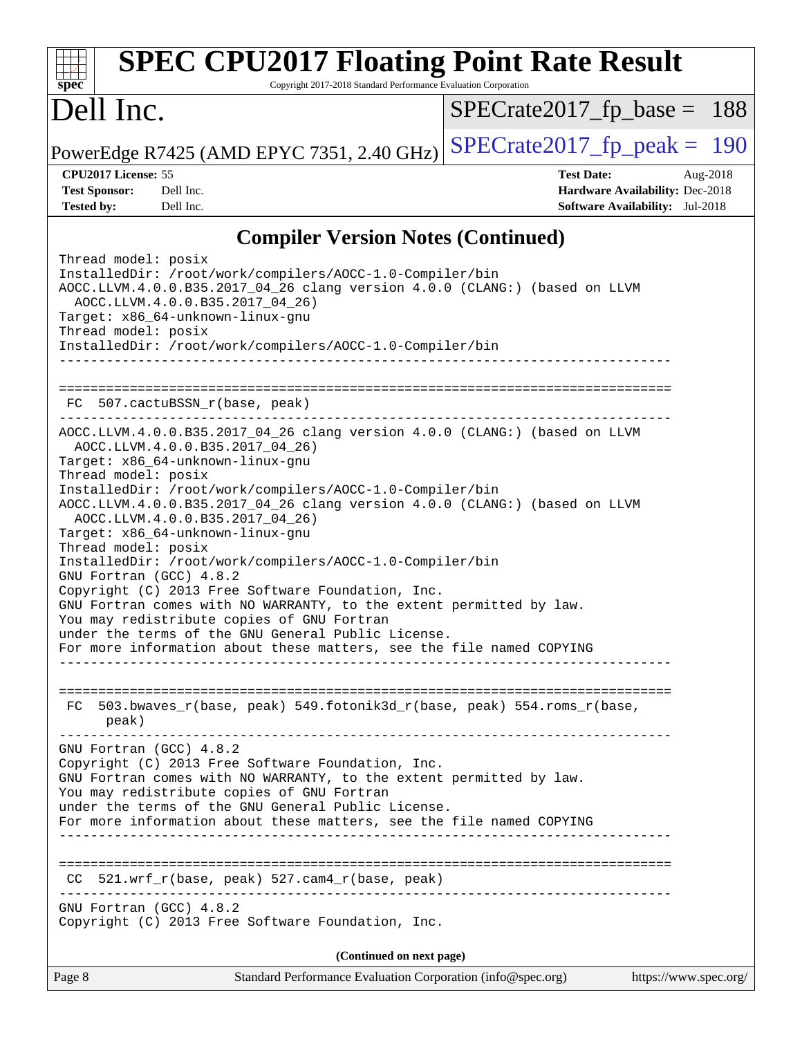| <b>SPEC CPU2017 Floating Point Rate Result</b><br>Copyright 2017-2018 Standard Performance Evaluation Corporation<br>$spec^*$                                                                                                                                                                                                                                                                                                                                                                                                                                                                                                                                                                                                                                                                                                                                                                                                                |                                                                                                            |
|----------------------------------------------------------------------------------------------------------------------------------------------------------------------------------------------------------------------------------------------------------------------------------------------------------------------------------------------------------------------------------------------------------------------------------------------------------------------------------------------------------------------------------------------------------------------------------------------------------------------------------------------------------------------------------------------------------------------------------------------------------------------------------------------------------------------------------------------------------------------------------------------------------------------------------------------|------------------------------------------------------------------------------------------------------------|
| Dell Inc.                                                                                                                                                                                                                                                                                                                                                                                                                                                                                                                                                                                                                                                                                                                                                                                                                                                                                                                                    | $SPECrate2017_fp\_base = 188$                                                                              |
| PowerEdge R7425 (AMD EPYC 7351, 2.40 GHz)                                                                                                                                                                                                                                                                                                                                                                                                                                                                                                                                                                                                                                                                                                                                                                                                                                                                                                    | $SPECrate2017_fp\_peak = 190$                                                                              |
| CPU2017 License: 55<br>Dell Inc.<br><b>Test Sponsor:</b><br>Dell Inc.<br><b>Tested by:</b>                                                                                                                                                                                                                                                                                                                                                                                                                                                                                                                                                                                                                                                                                                                                                                                                                                                   | <b>Test Date:</b><br>Aug-2018<br>Hardware Availability: Dec-2018<br><b>Software Availability:</b> Jul-2018 |
| <b>Compiler Version Notes (Continued)</b>                                                                                                                                                                                                                                                                                                                                                                                                                                                                                                                                                                                                                                                                                                                                                                                                                                                                                                    |                                                                                                            |
| Thread model: posix<br>InstalledDir: /root/work/compilers/AOCC-1.0-Compiler/bin<br>AOCC.LLVM.4.0.0.B35.2017_04_26 clang version 4.0.0 (CLANG:) (based on LLVM<br>AOCC.LLVM.4.0.0.B35.2017_04_26)<br>Target: x86_64-unknown-linux-gnu<br>Thread model: posix<br>InstalledDir: /root/work/compilers/AOCC-1.0-Compiler/bin                                                                                                                                                                                                                                                                                                                                                                                                                                                                                                                                                                                                                      |                                                                                                            |
| FC 507.cactuBSSN_r(base, peak)                                                                                                                                                                                                                                                                                                                                                                                                                                                                                                                                                                                                                                                                                                                                                                                                                                                                                                               |                                                                                                            |
| AOCC.LLVM.4.0.0.B35.2017_04_26 clang version 4.0.0 (CLANG:) (based on LLVM<br>AOCC.LLVM.4.0.0.B35.2017_04_26)<br>Target: x86_64-unknown-linux-gnu<br>Thread model: posix<br>InstalledDir: /root/work/compilers/AOCC-1.0-Compiler/bin<br>AOCC.LLVM.4.0.0.B35.2017_04_26 clang version 4.0.0 (CLANG:) (based on LLVM<br>AOCC.LLVM.4.0.0.B35.2017_04_26)<br>Target: x86_64-unknown-linux-gnu<br>Thread model: posix<br>InstalledDir: /root/work/compilers/AOCC-1.0-Compiler/bin<br>GNU Fortran (GCC) 4.8.2<br>Copyright (C) 2013 Free Software Foundation, Inc.<br>GNU Fortran comes with NO WARRANTY, to the extent permitted by law.<br>You may redistribute copies of GNU Fortran<br>under the terms of the GNU General Public License.<br>For more information about these matters, see the file named COPYING<br>_________________________________<br>503.bwaves_r(base, peak) 549.fotonik3d_r(base, peak) 554.roms_r(base,<br>FC<br>peak) |                                                                                                            |
| GNU Fortran (GCC) 4.8.2<br>Copyright (C) 2013 Free Software Foundation, Inc.<br>GNU Fortran comes with NO WARRANTY, to the extent permitted by law.<br>You may redistribute copies of GNU Fortran<br>under the terms of the GNU General Public License.<br>For more information about these matters, see the file named COPYING                                                                                                                                                                                                                                                                                                                                                                                                                                                                                                                                                                                                              |                                                                                                            |
| CC 521.wrf_r(base, peak) 527.cam4_r(base, peak)<br>GNU Fortran (GCC) 4.8.2                                                                                                                                                                                                                                                                                                                                                                                                                                                                                                                                                                                                                                                                                                                                                                                                                                                                   |                                                                                                            |
| Copyright (C) 2013 Free Software Foundation, Inc.                                                                                                                                                                                                                                                                                                                                                                                                                                                                                                                                                                                                                                                                                                                                                                                                                                                                                            |                                                                                                            |
| (Continued on next page)<br>Standard Performance Evaluation Corporation (info@spec.org)<br>Page 8                                                                                                                                                                                                                                                                                                                                                                                                                                                                                                                                                                                                                                                                                                                                                                                                                                            | https://www.spec.org/                                                                                      |
|                                                                                                                                                                                                                                                                                                                                                                                                                                                                                                                                                                                                                                                                                                                                                                                                                                                                                                                                              |                                                                                                            |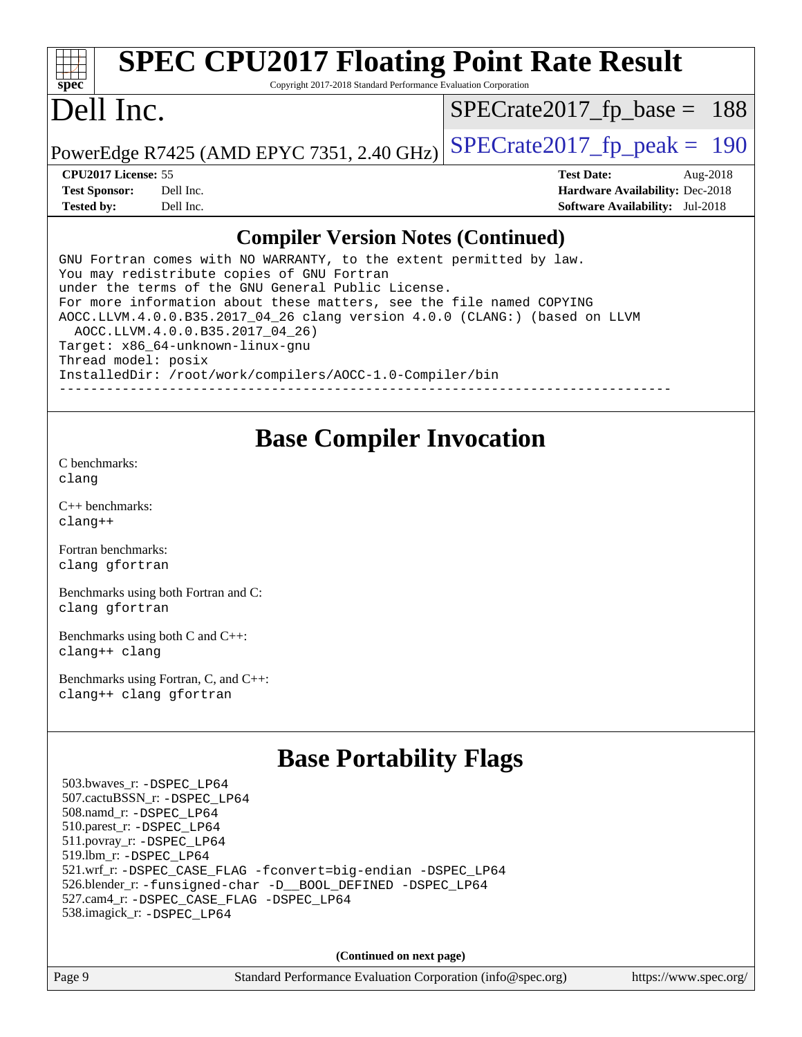#### **[spec](http://www.spec.org/) [SPEC CPU2017 Floating Point Rate Result](http://www.spec.org/auto/cpu2017/Docs/result-fields.html#SPECCPU2017FloatingPointRateResult)** Copyright 2017-2018 Standard Performance Evaluation Corporation Dell Inc. PowerEdge R7425 (AMD EPYC 7351, 2.40 GHz)  $\left|$  [SPECrate2017\\_fp\\_peak =](http://www.spec.org/auto/cpu2017/Docs/result-fields.html#SPECrate2017fppeak) 190 [SPECrate2017\\_fp\\_base =](http://www.spec.org/auto/cpu2017/Docs/result-fields.html#SPECrate2017fpbase) 188 **[CPU2017 License:](http://www.spec.org/auto/cpu2017/Docs/result-fields.html#CPU2017License)** 55 **[Test Date:](http://www.spec.org/auto/cpu2017/Docs/result-fields.html#TestDate)** Aug-2018 **[Test Sponsor:](http://www.spec.org/auto/cpu2017/Docs/result-fields.html#TestSponsor)** Dell Inc. **[Hardware Availability:](http://www.spec.org/auto/cpu2017/Docs/result-fields.html#HardwareAvailability)** Dec-2018 **[Tested by:](http://www.spec.org/auto/cpu2017/Docs/result-fields.html#Testedby)** Dell Inc. **[Software Availability:](http://www.spec.org/auto/cpu2017/Docs/result-fields.html#SoftwareAvailability)** Jul-2018

#### **[Compiler Version Notes \(Continued\)](http://www.spec.org/auto/cpu2017/Docs/result-fields.html#CompilerVersionNotes)**

GNU Fortran comes with NO WARRANTY, to the extent permitted by law. You may redistribute copies of GNU Fortran under the terms of the GNU General Public License. For more information about these matters, see the file named COPYING AOCC.LLVM.4.0.0.B35.2017\_04\_26 clang version 4.0.0 (CLANG:) (based on LLVM AOCC.LLVM.4.0.0.B35.2017\_04\_26) Target: x86\_64-unknown-linux-gnu Thread model: posix InstalledDir: /root/work/compilers/AOCC-1.0-Compiler/bin ------------------------------------------------------------------------------

## **[Base Compiler Invocation](http://www.spec.org/auto/cpu2017/Docs/result-fields.html#BaseCompilerInvocation)**

[C benchmarks](http://www.spec.org/auto/cpu2017/Docs/result-fields.html#Cbenchmarks): [clang](http://www.spec.org/cpu2017/results/res2018q4/cpu2017-20181029-09358.flags.html#user_CCbase_Fclang3_a68b77bfed473bd9cdd22529af008e8306c2e3948617c8991604c1a2000ee4a73ef90dd8bc793e105fe4165a625d26dacbda4708d828ad19048918c071b363ec)

[C++ benchmarks:](http://www.spec.org/auto/cpu2017/Docs/result-fields.html#CXXbenchmarks) [clang++](http://www.spec.org/cpu2017/results/res2018q4/cpu2017-20181029-09358.flags.html#user_CXXbase_Fclang3_57a48582e5be507d19b2527b3e7d4f85d9b8669ffc9a8a0dbb9bcf949a918a58bbab411e0c4d14a3922022a3e425a90db94042683824c1806feff4324ca1000d)

[Fortran benchmarks](http://www.spec.org/auto/cpu2017/Docs/result-fields.html#Fortranbenchmarks): [clang](http://www.spec.org/cpu2017/results/res2018q4/cpu2017-20181029-09358.flags.html#user_FCbase_Fclang3_a68b77bfed473bd9cdd22529af008e8306c2e3948617c8991604c1a2000ee4a73ef90dd8bc793e105fe4165a625d26dacbda4708d828ad19048918c071b363ec) [gfortran](http://www.spec.org/cpu2017/results/res2018q4/cpu2017-20181029-09358.flags.html#user_FCbase_aocc-gfortran_128c91a56d61ddb07404721e65b8f9498c31a443dacbd3b7f212891090eca86e2d099b520f75b99e9e8ac4fdec01f4d15f0b65e47123ec4c42b0759045731a1f)

[Benchmarks using both Fortran and C](http://www.spec.org/auto/cpu2017/Docs/result-fields.html#BenchmarksusingbothFortranandC): [clang](http://www.spec.org/cpu2017/results/res2018q4/cpu2017-20181029-09358.flags.html#user_CC_FCbase_Fclang3_a68b77bfed473bd9cdd22529af008e8306c2e3948617c8991604c1a2000ee4a73ef90dd8bc793e105fe4165a625d26dacbda4708d828ad19048918c071b363ec) [gfortran](http://www.spec.org/cpu2017/results/res2018q4/cpu2017-20181029-09358.flags.html#user_CC_FCbase_aocc-gfortran_128c91a56d61ddb07404721e65b8f9498c31a443dacbd3b7f212891090eca86e2d099b520f75b99e9e8ac4fdec01f4d15f0b65e47123ec4c42b0759045731a1f)

[Benchmarks using both C and C++](http://www.spec.org/auto/cpu2017/Docs/result-fields.html#BenchmarksusingbothCandCXX): [clang++](http://www.spec.org/cpu2017/results/res2018q4/cpu2017-20181029-09358.flags.html#user_CC_CXXbase_Fclang3_57a48582e5be507d19b2527b3e7d4f85d9b8669ffc9a8a0dbb9bcf949a918a58bbab411e0c4d14a3922022a3e425a90db94042683824c1806feff4324ca1000d) [clang](http://www.spec.org/cpu2017/results/res2018q4/cpu2017-20181029-09358.flags.html#user_CC_CXXbase_Fclang3_a68b77bfed473bd9cdd22529af008e8306c2e3948617c8991604c1a2000ee4a73ef90dd8bc793e105fe4165a625d26dacbda4708d828ad19048918c071b363ec)

[Benchmarks using Fortran, C, and C++:](http://www.spec.org/auto/cpu2017/Docs/result-fields.html#BenchmarksusingFortranCandCXX) [clang++](http://www.spec.org/cpu2017/results/res2018q4/cpu2017-20181029-09358.flags.html#user_CC_CXX_FCbase_Fclang3_57a48582e5be507d19b2527b3e7d4f85d9b8669ffc9a8a0dbb9bcf949a918a58bbab411e0c4d14a3922022a3e425a90db94042683824c1806feff4324ca1000d) [clang](http://www.spec.org/cpu2017/results/res2018q4/cpu2017-20181029-09358.flags.html#user_CC_CXX_FCbase_Fclang3_a68b77bfed473bd9cdd22529af008e8306c2e3948617c8991604c1a2000ee4a73ef90dd8bc793e105fe4165a625d26dacbda4708d828ad19048918c071b363ec) [gfortran](http://www.spec.org/cpu2017/results/res2018q4/cpu2017-20181029-09358.flags.html#user_CC_CXX_FCbase_aocc-gfortran_128c91a56d61ddb07404721e65b8f9498c31a443dacbd3b7f212891090eca86e2d099b520f75b99e9e8ac4fdec01f4d15f0b65e47123ec4c42b0759045731a1f)

## **[Base Portability Flags](http://www.spec.org/auto/cpu2017/Docs/result-fields.html#BasePortabilityFlags)**

 503.bwaves\_r: [-DSPEC\\_LP64](http://www.spec.org/cpu2017/results/res2018q4/cpu2017-20181029-09358.flags.html#suite_baseEXTRA_PORTABILITY503_bwaves_r_DSPEC_LP64) 507.cactuBSSN\_r: [-DSPEC\\_LP64](http://www.spec.org/cpu2017/results/res2018q4/cpu2017-20181029-09358.flags.html#suite_baseEXTRA_PORTABILITY507_cactuBSSN_r_DSPEC_LP64) 508.namd\_r: [-DSPEC\\_LP64](http://www.spec.org/cpu2017/results/res2018q4/cpu2017-20181029-09358.flags.html#suite_baseEXTRA_PORTABILITY508_namd_r_DSPEC_LP64) 510.parest\_r: [-DSPEC\\_LP64](http://www.spec.org/cpu2017/results/res2018q4/cpu2017-20181029-09358.flags.html#suite_baseEXTRA_PORTABILITY510_parest_r_DSPEC_LP64) 511.povray\_r: [-DSPEC\\_LP64](http://www.spec.org/cpu2017/results/res2018q4/cpu2017-20181029-09358.flags.html#suite_baseEXTRA_PORTABILITY511_povray_r_DSPEC_LP64) 519.lbm\_r: [-DSPEC\\_LP64](http://www.spec.org/cpu2017/results/res2018q4/cpu2017-20181029-09358.flags.html#suite_baseEXTRA_PORTABILITY519_lbm_r_DSPEC_LP64) 521.wrf\_r: [-DSPEC\\_CASE\\_FLAG](http://www.spec.org/cpu2017/results/res2018q4/cpu2017-20181029-09358.flags.html#b521.wrf_r_baseCPORTABILITY_DSPEC_CASE_FLAG) [-fconvert=big-endian](http://www.spec.org/cpu2017/results/res2018q4/cpu2017-20181029-09358.flags.html#user_baseFPORTABILITY521_wrf_r_F-fconvert) [-DSPEC\\_LP64](http://www.spec.org/cpu2017/results/res2018q4/cpu2017-20181029-09358.flags.html#suite_baseEXTRA_PORTABILITY521_wrf_r_DSPEC_LP64) 526.blender\_r: [-funsigned-char](http://www.spec.org/cpu2017/results/res2018q4/cpu2017-20181029-09358.flags.html#user_baseCPORTABILITY526_blender_r_F-funsigned-char) [-D\\_\\_BOOL\\_DEFINED](http://www.spec.org/cpu2017/results/res2018q4/cpu2017-20181029-09358.flags.html#b526.blender_r_baseCXXPORTABILITY_D__BOOL_DEFINED) [-DSPEC\\_LP64](http://www.spec.org/cpu2017/results/res2018q4/cpu2017-20181029-09358.flags.html#suite_baseEXTRA_PORTABILITY526_blender_r_DSPEC_LP64) 527.cam4\_r: [-DSPEC\\_CASE\\_FLAG](http://www.spec.org/cpu2017/results/res2018q4/cpu2017-20181029-09358.flags.html#b527.cam4_r_basePORTABILITY_DSPEC_CASE_FLAG) [-DSPEC\\_LP64](http://www.spec.org/cpu2017/results/res2018q4/cpu2017-20181029-09358.flags.html#suite_baseEXTRA_PORTABILITY527_cam4_r_DSPEC_LP64) 538.imagick\_r: [-DSPEC\\_LP64](http://www.spec.org/cpu2017/results/res2018q4/cpu2017-20181029-09358.flags.html#suite_baseEXTRA_PORTABILITY538_imagick_r_DSPEC_LP64)

**(Continued on next page)**

Page 9 Standard Performance Evaluation Corporation [\(info@spec.org\)](mailto:info@spec.org) <https://www.spec.org/>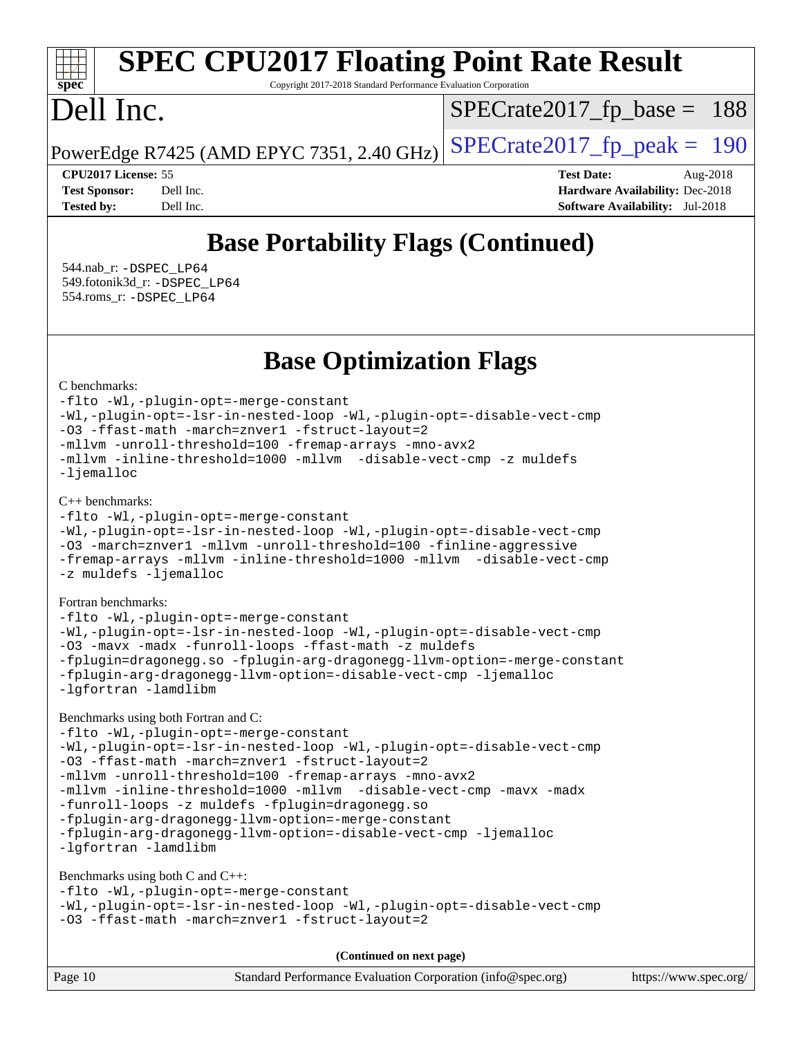# **[spec](http://www.spec.org/)**

# **[SPEC CPU2017 Floating Point Rate Result](http://www.spec.org/auto/cpu2017/Docs/result-fields.html#SPECCPU2017FloatingPointRateResult)**

Copyright 2017-2018 Standard Performance Evaluation Corporation

# Dell Inc.

 $SPECTate2017_fp\_base = 188$ 

PowerEdge R7425 (AMD EPYC 7351, 2.40 GHz)  $\left|$  [SPECrate2017\\_fp\\_peak =](http://www.spec.org/auto/cpu2017/Docs/result-fields.html#SPECrate2017fppeak) 190

**[CPU2017 License:](http://www.spec.org/auto/cpu2017/Docs/result-fields.html#CPU2017License)** 55 **[Test Date:](http://www.spec.org/auto/cpu2017/Docs/result-fields.html#TestDate)** Aug-2018 **[Test Sponsor:](http://www.spec.org/auto/cpu2017/Docs/result-fields.html#TestSponsor)** Dell Inc. **[Hardware Availability:](http://www.spec.org/auto/cpu2017/Docs/result-fields.html#HardwareAvailability)** Dec-2018 **[Tested by:](http://www.spec.org/auto/cpu2017/Docs/result-fields.html#Testedby)** Dell Inc. **[Software Availability:](http://www.spec.org/auto/cpu2017/Docs/result-fields.html#SoftwareAvailability)** Jul-2018

# **[Base Portability Flags \(Continued\)](http://www.spec.org/auto/cpu2017/Docs/result-fields.html#BasePortabilityFlags)**

 544.nab\_r: [-DSPEC\\_LP64](http://www.spec.org/cpu2017/results/res2018q4/cpu2017-20181029-09358.flags.html#suite_baseEXTRA_PORTABILITY544_nab_r_DSPEC_LP64) 549.fotonik3d\_r: [-DSPEC\\_LP64](http://www.spec.org/cpu2017/results/res2018q4/cpu2017-20181029-09358.flags.html#suite_baseEXTRA_PORTABILITY549_fotonik3d_r_DSPEC_LP64) 554.roms\_r: [-DSPEC\\_LP64](http://www.spec.org/cpu2017/results/res2018q4/cpu2017-20181029-09358.flags.html#suite_baseEXTRA_PORTABILITY554_roms_r_DSPEC_LP64)

**[Base Optimization Flags](http://www.spec.org/auto/cpu2017/Docs/result-fields.html#BaseOptimizationFlags)**

[C benchmarks](http://www.spec.org/auto/cpu2017/Docs/result-fields.html#Cbenchmarks):

[-flto](http://www.spec.org/cpu2017/results/res2018q4/cpu2017-20181029-09358.flags.html#user_CCbase_lto) [-Wl,-plugin-opt=-merge-constant](http://www.spec.org/cpu2017/results/res2018q4/cpu2017-20181029-09358.flags.html#user_CCbase_F-merge-constant_1d79771b5442061d9c8e05556c6b0c655e6c9e66f8c6936b0129d434b6acd2b1cf1b7cd2540d1570ff636111b08a6bc36e2e61fc34531f8ef7c1a34c57be1dbb) [-Wl,-plugin-opt=-lsr-in-nested-loop](http://www.spec.org/cpu2017/results/res2018q4/cpu2017-20181029-09358.flags.html#user_CCbase_lsr-in-nested-loop_1cff93fd95162f5e77640b5271e8bed680fb62b4a8d96fb8ab217ff3244646f1fbb342e31af83c263403bbf5249c7dc7732d5c86c3eab4cc8d32dcb7a6f33ca0) [-Wl,-plugin-opt=-disable-vect-cmp](http://www.spec.org/cpu2017/results/res2018q4/cpu2017-20181029-09358.flags.html#user_CCbase_disable-vect-cmp_1056b9a09b8ddc126e023b5f99ae33179ef568835465af9b7adeacf4b6480ff575c8aee439265bcfbcbf086f33f2fa5cca2bc4cf52b64c0cd2e10f6503cba02d) [-O3](http://www.spec.org/cpu2017/results/res2018q4/cpu2017-20181029-09358.flags.html#user_CCbase_F-O3) [-ffast-math](http://www.spec.org/cpu2017/results/res2018q4/cpu2017-20181029-09358.flags.html#user_CCbase_F-aocc-ffast-math_78dd175de6534c2005829757b9b0f2878e57b067cce6f7c443b2250ac68890960e2e1b320ca04b81ff7c62c6f87870ed05f06baf7875eea2990d38e3b73c71f1) [-march=znver1](http://www.spec.org/cpu2017/results/res2018q4/cpu2017-20181029-09358.flags.html#user_CCbase_F-march) [-fstruct-layout=2](http://www.spec.org/cpu2017/results/res2018q4/cpu2017-20181029-09358.flags.html#user_CCbase_F-fstruct-layout_a05ec02e17cdf7fe0c3950a6b005251b2b1e5e67af2b5298cf72714730c3d59ba290e75546b10aa22dac074c15ceaca36ae22c62cb51bcb2fbdc9dc4e7e222c4) [-mllvm -unroll-threshold=100](http://www.spec.org/cpu2017/results/res2018q4/cpu2017-20181029-09358.flags.html#user_CCbase_F-unroll-threshold_2755d0c78138845d361fa1543e3a063fffa198df9b3edf0cfb856bbc88a81e1769b12ac7a550c5d35197be55360db1a3f95a8d1304df999456cabf5120c45168) [-fremap-arrays](http://www.spec.org/cpu2017/results/res2018q4/cpu2017-20181029-09358.flags.html#user_CCbase_F-fremap-arrays) [-mno-avx2](http://www.spec.org/cpu2017/results/res2018q4/cpu2017-20181029-09358.flags.html#user_CCbase_F-mno-avx2) [-mllvm -inline-threshold=1000](http://www.spec.org/cpu2017/results/res2018q4/cpu2017-20181029-09358.flags.html#user_CCbase_inline-threshold_b7832241b0a6397e4ecdbaf0eb7defdc10f885c2a282fa3240fdc99844d543fda39cf8a4a9dccf68cf19b5438ac3b455264f478df15da0f4988afa40d8243bab) [-mllvm -disable-vect-cmp](http://www.spec.org/cpu2017/results/res2018q4/cpu2017-20181029-09358.flags.html#user_CCbase_disable-vect-cmp_d995c9eb800469498c6893dc847c54c903d59847b18cb2ac22011b9af7010c96d2d48d3c6b41246fe86945001509aa4dc528afb61cb238fd3b256a31781ea0cf) [-z muldefs](http://www.spec.org/cpu2017/results/res2018q4/cpu2017-20181029-09358.flags.html#user_CCbase_F-z-muldefs) [-ljemalloc](http://www.spec.org/cpu2017/results/res2018q4/cpu2017-20181029-09358.flags.html#user_CCbase_jemalloc-lib_d1249b907c500fa1c0672f44f562e3d0f79738ae9e3c4a9c376d49f265a04b9c99b167ecedbf6711b3085be911c67ff61f150a17b3472be731631ba4d0471706)

[C++ benchmarks:](http://www.spec.org/auto/cpu2017/Docs/result-fields.html#CXXbenchmarks)

```
-flto -Wl,-plugin-opt=-merge-constant
-Wl,-plugin-opt=-lsr-in-nested-loop -Wl,-plugin-opt=-disable-vect-cmp
-O3 -march=znver1 -mllvm -unroll-threshold=100 -finline-aggressive
-fremap-arrays -mllvm -inline-threshold=1000 -mllvm -disable-vect-cmp
-z muldefs -ljemalloc
```
[Fortran benchmarks](http://www.spec.org/auto/cpu2017/Docs/result-fields.html#Fortranbenchmarks):

[-flto](http://www.spec.org/cpu2017/results/res2018q4/cpu2017-20181029-09358.flags.html#user_FCbase_lto) [-Wl,-plugin-opt=-merge-constant](http://www.spec.org/cpu2017/results/res2018q4/cpu2017-20181029-09358.flags.html#user_FCbase_F-merge-constant_1d79771b5442061d9c8e05556c6b0c655e6c9e66f8c6936b0129d434b6acd2b1cf1b7cd2540d1570ff636111b08a6bc36e2e61fc34531f8ef7c1a34c57be1dbb) [-Wl,-plugin-opt=-lsr-in-nested-loop](http://www.spec.org/cpu2017/results/res2018q4/cpu2017-20181029-09358.flags.html#user_FCbase_lsr-in-nested-loop_1cff93fd95162f5e77640b5271e8bed680fb62b4a8d96fb8ab217ff3244646f1fbb342e31af83c263403bbf5249c7dc7732d5c86c3eab4cc8d32dcb7a6f33ca0) [-Wl,-plugin-opt=-disable-vect-cmp](http://www.spec.org/cpu2017/results/res2018q4/cpu2017-20181029-09358.flags.html#user_FCbase_disable-vect-cmp_1056b9a09b8ddc126e023b5f99ae33179ef568835465af9b7adeacf4b6480ff575c8aee439265bcfbcbf086f33f2fa5cca2bc4cf52b64c0cd2e10f6503cba02d) [-O3](http://www.spec.org/cpu2017/results/res2018q4/cpu2017-20181029-09358.flags.html#user_FCbase_F-O3) [-mavx](http://www.spec.org/cpu2017/results/res2018q4/cpu2017-20181029-09358.flags.html#user_FCbase_F-mavx) [-madx](http://www.spec.org/cpu2017/results/res2018q4/cpu2017-20181029-09358.flags.html#user_FCbase_F-madx) [-funroll-loops](http://www.spec.org/cpu2017/results/res2018q4/cpu2017-20181029-09358.flags.html#user_FCbase_aocc-funroll-loops) [-ffast-math](http://www.spec.org/cpu2017/results/res2018q4/cpu2017-20181029-09358.flags.html#user_FCbase_F-aocc-ffast-math_78dd175de6534c2005829757b9b0f2878e57b067cce6f7c443b2250ac68890960e2e1b320ca04b81ff7c62c6f87870ed05f06baf7875eea2990d38e3b73c71f1) [-z muldefs](http://www.spec.org/cpu2017/results/res2018q4/cpu2017-20181029-09358.flags.html#user_FCbase_F-z-muldefs) [-fplugin=dragonegg.so](http://www.spec.org/cpu2017/results/res2018q4/cpu2017-20181029-09358.flags.html#user_FCbase_F-fpluginDragonEgg) [-fplugin-arg-dragonegg-llvm-option=-merge-constant](http://www.spec.org/cpu2017/results/res2018q4/cpu2017-20181029-09358.flags.html#user_FCbase_F-merge-constant_37fd66d07a4fbae8f1b816e843c3ed1ebaa48f794b65ea8be746a1880566a3d23eba4a3c37b5c024650311adcf9247c62af28144803b3729b14be14423fa5142) [-fplugin-arg-dragonegg-llvm-option=-disable-vect-cmp](http://www.spec.org/cpu2017/results/res2018q4/cpu2017-20181029-09358.flags.html#user_FCbase_disable-vect-cmp_d119dd6f96524d64dc477d5e6a72268aebe046b42f767098038bf7530fc0cc546dd329b2376104fde185baca14f7365ef86ccd3ff602b57a7839de005478f594) [-ljemalloc](http://www.spec.org/cpu2017/results/res2018q4/cpu2017-20181029-09358.flags.html#user_FCbase_jemalloc-lib_d1249b907c500fa1c0672f44f562e3d0f79738ae9e3c4a9c376d49f265a04b9c99b167ecedbf6711b3085be911c67ff61f150a17b3472be731631ba4d0471706) [-lgfortran](http://www.spec.org/cpu2017/results/res2018q4/cpu2017-20181029-09358.flags.html#user_FCbase_F-lgfortran) [-lamdlibm](http://www.spec.org/cpu2017/results/res2018q4/cpu2017-20181029-09358.flags.html#user_FCbase_F-lamdlibm)

[Benchmarks using both Fortran and C](http://www.spec.org/auto/cpu2017/Docs/result-fields.html#BenchmarksusingbothFortranandC):

[-flto](http://www.spec.org/cpu2017/results/res2018q4/cpu2017-20181029-09358.flags.html#user_CC_FCbase_lto) [-Wl,-plugin-opt=-merge-constant](http://www.spec.org/cpu2017/results/res2018q4/cpu2017-20181029-09358.flags.html#user_CC_FCbase_F-merge-constant_1d79771b5442061d9c8e05556c6b0c655e6c9e66f8c6936b0129d434b6acd2b1cf1b7cd2540d1570ff636111b08a6bc36e2e61fc34531f8ef7c1a34c57be1dbb) [-Wl,-plugin-opt=-lsr-in-nested-loop](http://www.spec.org/cpu2017/results/res2018q4/cpu2017-20181029-09358.flags.html#user_CC_FCbase_lsr-in-nested-loop_1cff93fd95162f5e77640b5271e8bed680fb62b4a8d96fb8ab217ff3244646f1fbb342e31af83c263403bbf5249c7dc7732d5c86c3eab4cc8d32dcb7a6f33ca0) [-Wl,-plugin-opt=-disable-vect-cmp](http://www.spec.org/cpu2017/results/res2018q4/cpu2017-20181029-09358.flags.html#user_CC_FCbase_disable-vect-cmp_1056b9a09b8ddc126e023b5f99ae33179ef568835465af9b7adeacf4b6480ff575c8aee439265bcfbcbf086f33f2fa5cca2bc4cf52b64c0cd2e10f6503cba02d) [-O3](http://www.spec.org/cpu2017/results/res2018q4/cpu2017-20181029-09358.flags.html#user_CC_FCbase_F-O3) [-ffast-math](http://www.spec.org/cpu2017/results/res2018q4/cpu2017-20181029-09358.flags.html#user_CC_FCbase_F-aocc-ffast-math_78dd175de6534c2005829757b9b0f2878e57b067cce6f7c443b2250ac68890960e2e1b320ca04b81ff7c62c6f87870ed05f06baf7875eea2990d38e3b73c71f1) [-march=znver1](http://www.spec.org/cpu2017/results/res2018q4/cpu2017-20181029-09358.flags.html#user_CC_FCbase_F-march) [-fstruct-layout=2](http://www.spec.org/cpu2017/results/res2018q4/cpu2017-20181029-09358.flags.html#user_CC_FCbase_F-fstruct-layout_a05ec02e17cdf7fe0c3950a6b005251b2b1e5e67af2b5298cf72714730c3d59ba290e75546b10aa22dac074c15ceaca36ae22c62cb51bcb2fbdc9dc4e7e222c4) [-mllvm -unroll-threshold=100](http://www.spec.org/cpu2017/results/res2018q4/cpu2017-20181029-09358.flags.html#user_CC_FCbase_F-unroll-threshold_2755d0c78138845d361fa1543e3a063fffa198df9b3edf0cfb856bbc88a81e1769b12ac7a550c5d35197be55360db1a3f95a8d1304df999456cabf5120c45168) [-fremap-arrays](http://www.spec.org/cpu2017/results/res2018q4/cpu2017-20181029-09358.flags.html#user_CC_FCbase_F-fremap-arrays) [-mno-avx2](http://www.spec.org/cpu2017/results/res2018q4/cpu2017-20181029-09358.flags.html#user_CC_FCbase_F-mno-avx2) [-mllvm -inline-threshold=1000](http://www.spec.org/cpu2017/results/res2018q4/cpu2017-20181029-09358.flags.html#user_CC_FCbase_inline-threshold_b7832241b0a6397e4ecdbaf0eb7defdc10f885c2a282fa3240fdc99844d543fda39cf8a4a9dccf68cf19b5438ac3b455264f478df15da0f4988afa40d8243bab) [-mllvm -disable-vect-cmp](http://www.spec.org/cpu2017/results/res2018q4/cpu2017-20181029-09358.flags.html#user_CC_FCbase_disable-vect-cmp_d995c9eb800469498c6893dc847c54c903d59847b18cb2ac22011b9af7010c96d2d48d3c6b41246fe86945001509aa4dc528afb61cb238fd3b256a31781ea0cf) [-mavx](http://www.spec.org/cpu2017/results/res2018q4/cpu2017-20181029-09358.flags.html#user_CC_FCbase_F-mavx) [-madx](http://www.spec.org/cpu2017/results/res2018q4/cpu2017-20181029-09358.flags.html#user_CC_FCbase_F-madx) [-funroll-loops](http://www.spec.org/cpu2017/results/res2018q4/cpu2017-20181029-09358.flags.html#user_CC_FCbase_aocc-funroll-loops) [-z muldefs](http://www.spec.org/cpu2017/results/res2018q4/cpu2017-20181029-09358.flags.html#user_CC_FCbase_F-z-muldefs) [-fplugin=dragonegg.so](http://www.spec.org/cpu2017/results/res2018q4/cpu2017-20181029-09358.flags.html#user_CC_FCbase_F-fpluginDragonEgg) [-fplugin-arg-dragonegg-llvm-option=-merge-constant](http://www.spec.org/cpu2017/results/res2018q4/cpu2017-20181029-09358.flags.html#user_CC_FCbase_F-merge-constant_37fd66d07a4fbae8f1b816e843c3ed1ebaa48f794b65ea8be746a1880566a3d23eba4a3c37b5c024650311adcf9247c62af28144803b3729b14be14423fa5142) [-fplugin-arg-dragonegg-llvm-option=-disable-vect-cmp](http://www.spec.org/cpu2017/results/res2018q4/cpu2017-20181029-09358.flags.html#user_CC_FCbase_disable-vect-cmp_d119dd6f96524d64dc477d5e6a72268aebe046b42f767098038bf7530fc0cc546dd329b2376104fde185baca14f7365ef86ccd3ff602b57a7839de005478f594) [-ljemalloc](http://www.spec.org/cpu2017/results/res2018q4/cpu2017-20181029-09358.flags.html#user_CC_FCbase_jemalloc-lib_d1249b907c500fa1c0672f44f562e3d0f79738ae9e3c4a9c376d49f265a04b9c99b167ecedbf6711b3085be911c67ff61f150a17b3472be731631ba4d0471706) [-lgfortran](http://www.spec.org/cpu2017/results/res2018q4/cpu2017-20181029-09358.flags.html#user_CC_FCbase_F-lgfortran) [-lamdlibm](http://www.spec.org/cpu2017/results/res2018q4/cpu2017-20181029-09358.flags.html#user_CC_FCbase_F-lamdlibm)

[Benchmarks using both C and C++](http://www.spec.org/auto/cpu2017/Docs/result-fields.html#BenchmarksusingbothCandCXX):

[-flto](http://www.spec.org/cpu2017/results/res2018q4/cpu2017-20181029-09358.flags.html#user_CC_CXXbase_lto) [-Wl,-plugin-opt=-merge-constant](http://www.spec.org/cpu2017/results/res2018q4/cpu2017-20181029-09358.flags.html#user_CC_CXXbase_F-merge-constant_1d79771b5442061d9c8e05556c6b0c655e6c9e66f8c6936b0129d434b6acd2b1cf1b7cd2540d1570ff636111b08a6bc36e2e61fc34531f8ef7c1a34c57be1dbb) [-Wl,-plugin-opt=-lsr-in-nested-loop](http://www.spec.org/cpu2017/results/res2018q4/cpu2017-20181029-09358.flags.html#user_CC_CXXbase_lsr-in-nested-loop_1cff93fd95162f5e77640b5271e8bed680fb62b4a8d96fb8ab217ff3244646f1fbb342e31af83c263403bbf5249c7dc7732d5c86c3eab4cc8d32dcb7a6f33ca0) [-Wl,-plugin-opt=-disable-vect-cmp](http://www.spec.org/cpu2017/results/res2018q4/cpu2017-20181029-09358.flags.html#user_CC_CXXbase_disable-vect-cmp_1056b9a09b8ddc126e023b5f99ae33179ef568835465af9b7adeacf4b6480ff575c8aee439265bcfbcbf086f33f2fa5cca2bc4cf52b64c0cd2e10f6503cba02d) [-O3](http://www.spec.org/cpu2017/results/res2018q4/cpu2017-20181029-09358.flags.html#user_CC_CXXbase_F-O3) [-ffast-math](http://www.spec.org/cpu2017/results/res2018q4/cpu2017-20181029-09358.flags.html#user_CC_CXXbase_F-aocc-ffast-math_78dd175de6534c2005829757b9b0f2878e57b067cce6f7c443b2250ac68890960e2e1b320ca04b81ff7c62c6f87870ed05f06baf7875eea2990d38e3b73c71f1) [-march=znver1](http://www.spec.org/cpu2017/results/res2018q4/cpu2017-20181029-09358.flags.html#user_CC_CXXbase_F-march) [-fstruct-layout=2](http://www.spec.org/cpu2017/results/res2018q4/cpu2017-20181029-09358.flags.html#user_CC_CXXbase_F-fstruct-layout_a05ec02e17cdf7fe0c3950a6b005251b2b1e5e67af2b5298cf72714730c3d59ba290e75546b10aa22dac074c15ceaca36ae22c62cb51bcb2fbdc9dc4e7e222c4)

**(Continued on next page)**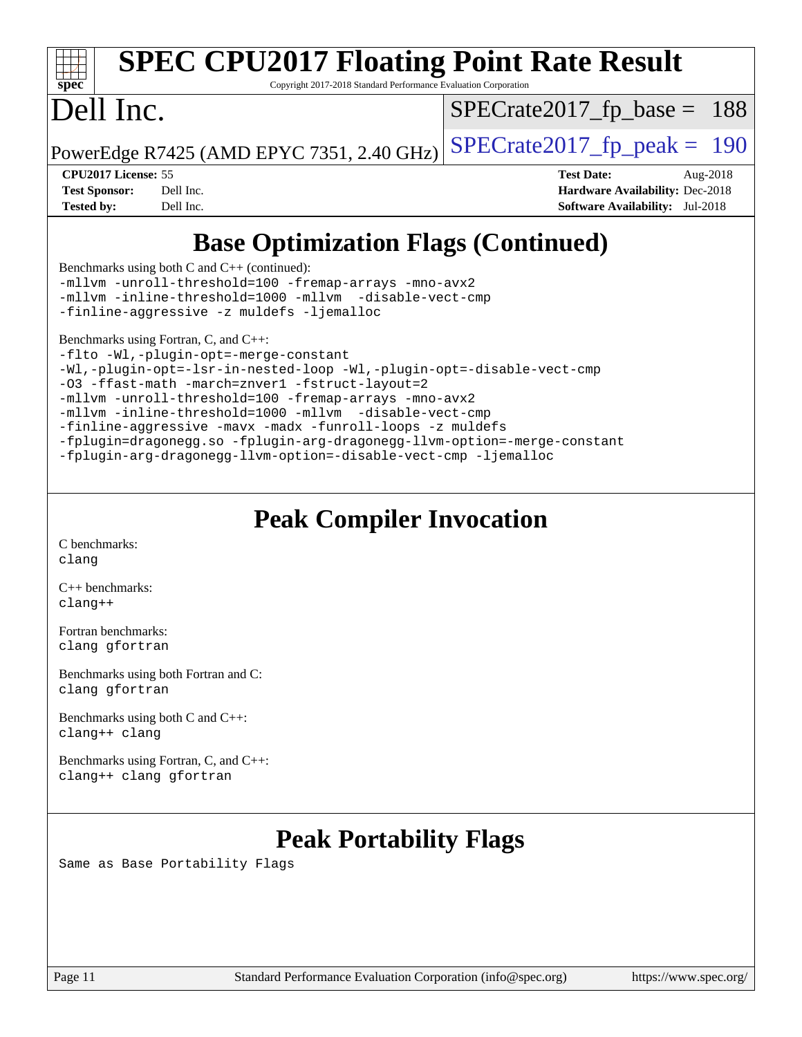| spec                 | <b>SPEC CPU2017 Floating Point Rate Result</b><br>Copyright 2017-2018 Standard Performance Evaluation Corporation |                                        |          |
|----------------------|-------------------------------------------------------------------------------------------------------------------|----------------------------------------|----------|
| Dell Inc.            |                                                                                                                   | $SPECrate2017_fp\_base = 188$          |          |
|                      | PowerEdge R7425 (AMD EPYC 7351, 2.40 GHz)                                                                         | $SPECrate2017fp peak = 190$            |          |
| CPU2017 License: 55  |                                                                                                                   | <b>Test Date:</b>                      | Aug-2018 |
| <b>Test Sponsor:</b> | Dell Inc.                                                                                                         | <b>Hardware Availability: Dec-2018</b> |          |
| <b>Tested by:</b>    | Dell Inc.                                                                                                         | <b>Software Availability:</b> Jul-2018 |          |
|                      | <b>Base Optimization Flags (Continued)</b><br>Benchmarks using both C and $C_{++}$ (continued):                   |                                        |          |
|                      | -mllvm -unroll-threshold=100 -fremap-arrays -mno-avx2                                                             |                                        |          |

[-finline-aggressive](http://www.spec.org/cpu2017/results/res2018q4/cpu2017-20181029-09358.flags.html#user_CC_CXXbase_F-finline-aggressive) [-z muldefs](http://www.spec.org/cpu2017/results/res2018q4/cpu2017-20181029-09358.flags.html#user_CC_CXXbase_F-z-muldefs) [-ljemalloc](http://www.spec.org/cpu2017/results/res2018q4/cpu2017-20181029-09358.flags.html#user_CC_CXXbase_jemalloc-lib_d1249b907c500fa1c0672f44f562e3d0f79738ae9e3c4a9c376d49f265a04b9c99b167ecedbf6711b3085be911c67ff61f150a17b3472be731631ba4d0471706)

[-mllvm -inline-threshold=1000](http://www.spec.org/cpu2017/results/res2018q4/cpu2017-20181029-09358.flags.html#user_CC_CXXbase_inline-threshold_b7832241b0a6397e4ecdbaf0eb7defdc10f885c2a282fa3240fdc99844d543fda39cf8a4a9dccf68cf19b5438ac3b455264f478df15da0f4988afa40d8243bab) [-mllvm -disable-vect-cmp](http://www.spec.org/cpu2017/results/res2018q4/cpu2017-20181029-09358.flags.html#user_CC_CXXbase_disable-vect-cmp_d995c9eb800469498c6893dc847c54c903d59847b18cb2ac22011b9af7010c96d2d48d3c6b41246fe86945001509aa4dc528afb61cb238fd3b256a31781ea0cf)

[Benchmarks using Fortran, C, and C++:](http://www.spec.org/auto/cpu2017/Docs/result-fields.html#BenchmarksusingFortranCandCXX)

[-flto](http://www.spec.org/cpu2017/results/res2018q4/cpu2017-20181029-09358.flags.html#user_CC_CXX_FCbase_lto) [-Wl,-plugin-opt=-merge-constant](http://www.spec.org/cpu2017/results/res2018q4/cpu2017-20181029-09358.flags.html#user_CC_CXX_FCbase_F-merge-constant_1d79771b5442061d9c8e05556c6b0c655e6c9e66f8c6936b0129d434b6acd2b1cf1b7cd2540d1570ff636111b08a6bc36e2e61fc34531f8ef7c1a34c57be1dbb) [-Wl,-plugin-opt=-lsr-in-nested-loop](http://www.spec.org/cpu2017/results/res2018q4/cpu2017-20181029-09358.flags.html#user_CC_CXX_FCbase_lsr-in-nested-loop_1cff93fd95162f5e77640b5271e8bed680fb62b4a8d96fb8ab217ff3244646f1fbb342e31af83c263403bbf5249c7dc7732d5c86c3eab4cc8d32dcb7a6f33ca0) [-Wl,-plugin-opt=-disable-vect-cmp](http://www.spec.org/cpu2017/results/res2018q4/cpu2017-20181029-09358.flags.html#user_CC_CXX_FCbase_disable-vect-cmp_1056b9a09b8ddc126e023b5f99ae33179ef568835465af9b7adeacf4b6480ff575c8aee439265bcfbcbf086f33f2fa5cca2bc4cf52b64c0cd2e10f6503cba02d) [-O3](http://www.spec.org/cpu2017/results/res2018q4/cpu2017-20181029-09358.flags.html#user_CC_CXX_FCbase_F-O3) [-ffast-math](http://www.spec.org/cpu2017/results/res2018q4/cpu2017-20181029-09358.flags.html#user_CC_CXX_FCbase_F-aocc-ffast-math_78dd175de6534c2005829757b9b0f2878e57b067cce6f7c443b2250ac68890960e2e1b320ca04b81ff7c62c6f87870ed05f06baf7875eea2990d38e3b73c71f1) [-march=znver1](http://www.spec.org/cpu2017/results/res2018q4/cpu2017-20181029-09358.flags.html#user_CC_CXX_FCbase_F-march) [-fstruct-layout=2](http://www.spec.org/cpu2017/results/res2018q4/cpu2017-20181029-09358.flags.html#user_CC_CXX_FCbase_F-fstruct-layout_a05ec02e17cdf7fe0c3950a6b005251b2b1e5e67af2b5298cf72714730c3d59ba290e75546b10aa22dac074c15ceaca36ae22c62cb51bcb2fbdc9dc4e7e222c4) [-mllvm -unroll-threshold=100](http://www.spec.org/cpu2017/results/res2018q4/cpu2017-20181029-09358.flags.html#user_CC_CXX_FCbase_F-unroll-threshold_2755d0c78138845d361fa1543e3a063fffa198df9b3edf0cfb856bbc88a81e1769b12ac7a550c5d35197be55360db1a3f95a8d1304df999456cabf5120c45168) [-fremap-arrays](http://www.spec.org/cpu2017/results/res2018q4/cpu2017-20181029-09358.flags.html#user_CC_CXX_FCbase_F-fremap-arrays) [-mno-avx2](http://www.spec.org/cpu2017/results/res2018q4/cpu2017-20181029-09358.flags.html#user_CC_CXX_FCbase_F-mno-avx2) [-mllvm -inline-threshold=1000](http://www.spec.org/cpu2017/results/res2018q4/cpu2017-20181029-09358.flags.html#user_CC_CXX_FCbase_inline-threshold_b7832241b0a6397e4ecdbaf0eb7defdc10f885c2a282fa3240fdc99844d543fda39cf8a4a9dccf68cf19b5438ac3b455264f478df15da0f4988afa40d8243bab) [-mllvm -disable-vect-cmp](http://www.spec.org/cpu2017/results/res2018q4/cpu2017-20181029-09358.flags.html#user_CC_CXX_FCbase_disable-vect-cmp_d995c9eb800469498c6893dc847c54c903d59847b18cb2ac22011b9af7010c96d2d48d3c6b41246fe86945001509aa4dc528afb61cb238fd3b256a31781ea0cf) [-finline-aggressive](http://www.spec.org/cpu2017/results/res2018q4/cpu2017-20181029-09358.flags.html#user_CC_CXX_FCbase_F-finline-aggressive) [-mavx](http://www.spec.org/cpu2017/results/res2018q4/cpu2017-20181029-09358.flags.html#user_CC_CXX_FCbase_F-mavx) [-madx](http://www.spec.org/cpu2017/results/res2018q4/cpu2017-20181029-09358.flags.html#user_CC_CXX_FCbase_F-madx) [-funroll-loops](http://www.spec.org/cpu2017/results/res2018q4/cpu2017-20181029-09358.flags.html#user_CC_CXX_FCbase_aocc-funroll-loops) [-z muldefs](http://www.spec.org/cpu2017/results/res2018q4/cpu2017-20181029-09358.flags.html#user_CC_CXX_FCbase_F-z-muldefs) [-fplugin=dragonegg.so](http://www.spec.org/cpu2017/results/res2018q4/cpu2017-20181029-09358.flags.html#user_CC_CXX_FCbase_F-fpluginDragonEgg) [-fplugin-arg-dragonegg-llvm-option=-merge-constant](http://www.spec.org/cpu2017/results/res2018q4/cpu2017-20181029-09358.flags.html#user_CC_CXX_FCbase_F-merge-constant_37fd66d07a4fbae8f1b816e843c3ed1ebaa48f794b65ea8be746a1880566a3d23eba4a3c37b5c024650311adcf9247c62af28144803b3729b14be14423fa5142) [-fplugin-arg-dragonegg-llvm-option=-disable-vect-cmp](http://www.spec.org/cpu2017/results/res2018q4/cpu2017-20181029-09358.flags.html#user_CC_CXX_FCbase_disable-vect-cmp_d119dd6f96524d64dc477d5e6a72268aebe046b42f767098038bf7530fc0cc546dd329b2376104fde185baca14f7365ef86ccd3ff602b57a7839de005478f594) [-ljemalloc](http://www.spec.org/cpu2017/results/res2018q4/cpu2017-20181029-09358.flags.html#user_CC_CXX_FCbase_jemalloc-lib_d1249b907c500fa1c0672f44f562e3d0f79738ae9e3c4a9c376d49f265a04b9c99b167ecedbf6711b3085be911c67ff61f150a17b3472be731631ba4d0471706)

# **[Peak Compiler Invocation](http://www.spec.org/auto/cpu2017/Docs/result-fields.html#PeakCompilerInvocation)**

[C benchmarks](http://www.spec.org/auto/cpu2017/Docs/result-fields.html#Cbenchmarks): [clang](http://www.spec.org/cpu2017/results/res2018q4/cpu2017-20181029-09358.flags.html#user_CCpeak_Fclang3_a68b77bfed473bd9cdd22529af008e8306c2e3948617c8991604c1a2000ee4a73ef90dd8bc793e105fe4165a625d26dacbda4708d828ad19048918c071b363ec)

[C++ benchmarks:](http://www.spec.org/auto/cpu2017/Docs/result-fields.html#CXXbenchmarks) [clang++](http://www.spec.org/cpu2017/results/res2018q4/cpu2017-20181029-09358.flags.html#user_CXXpeak_Fclang3_57a48582e5be507d19b2527b3e7d4f85d9b8669ffc9a8a0dbb9bcf949a918a58bbab411e0c4d14a3922022a3e425a90db94042683824c1806feff4324ca1000d)

[Fortran benchmarks](http://www.spec.org/auto/cpu2017/Docs/result-fields.html#Fortranbenchmarks): [clang](http://www.spec.org/cpu2017/results/res2018q4/cpu2017-20181029-09358.flags.html#user_FCpeak_Fclang3_a68b77bfed473bd9cdd22529af008e8306c2e3948617c8991604c1a2000ee4a73ef90dd8bc793e105fe4165a625d26dacbda4708d828ad19048918c071b363ec) [gfortran](http://www.spec.org/cpu2017/results/res2018q4/cpu2017-20181029-09358.flags.html#user_FCpeak_aocc-gfortran_128c91a56d61ddb07404721e65b8f9498c31a443dacbd3b7f212891090eca86e2d099b520f75b99e9e8ac4fdec01f4d15f0b65e47123ec4c42b0759045731a1f)

[Benchmarks using both Fortran and C](http://www.spec.org/auto/cpu2017/Docs/result-fields.html#BenchmarksusingbothFortranandC): [clang](http://www.spec.org/cpu2017/results/res2018q4/cpu2017-20181029-09358.flags.html#user_CC_FCpeak_Fclang3_a68b77bfed473bd9cdd22529af008e8306c2e3948617c8991604c1a2000ee4a73ef90dd8bc793e105fe4165a625d26dacbda4708d828ad19048918c071b363ec) [gfortran](http://www.spec.org/cpu2017/results/res2018q4/cpu2017-20181029-09358.flags.html#user_CC_FCpeak_aocc-gfortran_128c91a56d61ddb07404721e65b8f9498c31a443dacbd3b7f212891090eca86e2d099b520f75b99e9e8ac4fdec01f4d15f0b65e47123ec4c42b0759045731a1f)

[Benchmarks using both C and C++](http://www.spec.org/auto/cpu2017/Docs/result-fields.html#BenchmarksusingbothCandCXX): [clang++](http://www.spec.org/cpu2017/results/res2018q4/cpu2017-20181029-09358.flags.html#user_CC_CXXpeak_Fclang3_57a48582e5be507d19b2527b3e7d4f85d9b8669ffc9a8a0dbb9bcf949a918a58bbab411e0c4d14a3922022a3e425a90db94042683824c1806feff4324ca1000d) [clang](http://www.spec.org/cpu2017/results/res2018q4/cpu2017-20181029-09358.flags.html#user_CC_CXXpeak_Fclang3_a68b77bfed473bd9cdd22529af008e8306c2e3948617c8991604c1a2000ee4a73ef90dd8bc793e105fe4165a625d26dacbda4708d828ad19048918c071b363ec)

[Benchmarks using Fortran, C, and C++:](http://www.spec.org/auto/cpu2017/Docs/result-fields.html#BenchmarksusingFortranCandCXX) [clang++](http://www.spec.org/cpu2017/results/res2018q4/cpu2017-20181029-09358.flags.html#user_CC_CXX_FCpeak_Fclang3_57a48582e5be507d19b2527b3e7d4f85d9b8669ffc9a8a0dbb9bcf949a918a58bbab411e0c4d14a3922022a3e425a90db94042683824c1806feff4324ca1000d) [clang](http://www.spec.org/cpu2017/results/res2018q4/cpu2017-20181029-09358.flags.html#user_CC_CXX_FCpeak_Fclang3_a68b77bfed473bd9cdd22529af008e8306c2e3948617c8991604c1a2000ee4a73ef90dd8bc793e105fe4165a625d26dacbda4708d828ad19048918c071b363ec) [gfortran](http://www.spec.org/cpu2017/results/res2018q4/cpu2017-20181029-09358.flags.html#user_CC_CXX_FCpeak_aocc-gfortran_128c91a56d61ddb07404721e65b8f9498c31a443dacbd3b7f212891090eca86e2d099b520f75b99e9e8ac4fdec01f4d15f0b65e47123ec4c42b0759045731a1f)

# **[Peak Portability Flags](http://www.spec.org/auto/cpu2017/Docs/result-fields.html#PeakPortabilityFlags)**

Same as Base Portability Flags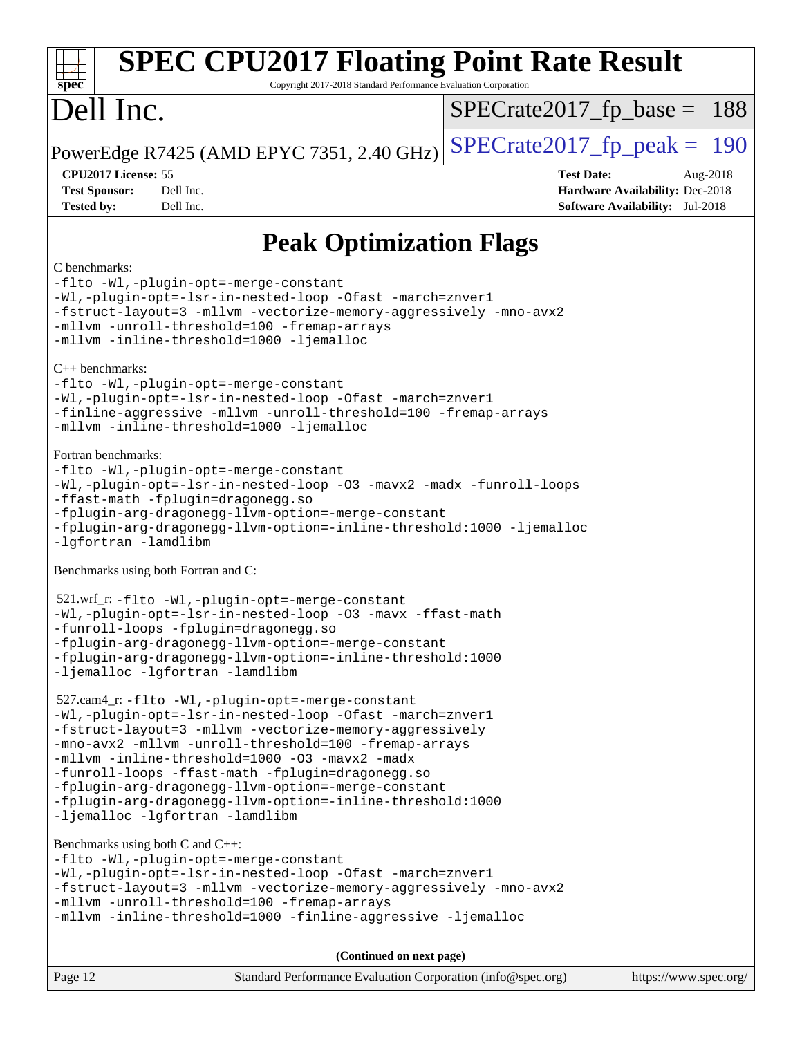| <b>SPEC CPU2017 Floating Point Rate Result</b><br>Copyright 2017-2018 Standard Performance Evaluation Corporation<br>$spec^*$                                                                                                                                                                                                                                                                                                                                                                                                                                                                                                                                                                                                                                                                                                            |                                                                                                            |
|------------------------------------------------------------------------------------------------------------------------------------------------------------------------------------------------------------------------------------------------------------------------------------------------------------------------------------------------------------------------------------------------------------------------------------------------------------------------------------------------------------------------------------------------------------------------------------------------------------------------------------------------------------------------------------------------------------------------------------------------------------------------------------------------------------------------------------------|------------------------------------------------------------------------------------------------------------|
| Dell Inc.                                                                                                                                                                                                                                                                                                                                                                                                                                                                                                                                                                                                                                                                                                                                                                                                                                | $SPECrate2017_fp\_base = 188$                                                                              |
| PowerEdge R7425 (AMD EPYC 7351, 2.40 GHz)                                                                                                                                                                                                                                                                                                                                                                                                                                                                                                                                                                                                                                                                                                                                                                                                | $SPECTate2017$ _fp_peak = 190                                                                              |
| CPU2017 License: 55<br><b>Test Sponsor:</b><br>Dell Inc.<br>Dell Inc.<br><b>Tested by:</b>                                                                                                                                                                                                                                                                                                                                                                                                                                                                                                                                                                                                                                                                                                                                               | <b>Test Date:</b><br>Aug-2018<br>Hardware Availability: Dec-2018<br><b>Software Availability:</b> Jul-2018 |
| <b>Peak Optimization Flags</b>                                                                                                                                                                                                                                                                                                                                                                                                                                                                                                                                                                                                                                                                                                                                                                                                           |                                                                                                            |
| C benchmarks:<br>-flto -Wl,-plugin-opt=-merge-constant<br>-Wl,-plugin-opt=-lsr-in-nested-loop -Ofast -march=znver1<br>-fstruct-layout=3 -mllvm -vectorize-memory-aggressively -mno-avx2<br>-mllvm -unroll-threshold=100 -fremap-arrays<br>-mllvm -inline-threshold=1000 -ljemalloc<br>$C_{++}$ benchmarks:<br>-flto -Wl,-plugin-opt=-merge-constant<br>-Wl,-plugin-opt=-lsr-in-nested-loop -Ofast -march=znver1<br>-finline-aggressive -mllvm -unroll-threshold=100 -fremap-arrays<br>-mllvm -inline-threshold=1000 -ljemalloc<br>Fortran benchmarks:<br>-flto -Wl,-plugin-opt=-merge-constant<br>-Wl,-plugin-opt=-lsr-in-nested-loop -03 -mavx2 -madx -funroll-loops<br>-ffast-math -fplugin=dragonegg.so<br>-fplugin-arg-dragonegg-llvm-option=-merge-constant<br>-fplugin-arg-dragonegg-llvm-option=-inline-threshold:1000 -ljemalloc |                                                                                                            |
| -lgfortran -lamdlibm<br>Benchmarks using both Fortran and C:                                                                                                                                                                                                                                                                                                                                                                                                                                                                                                                                                                                                                                                                                                                                                                             |                                                                                                            |
| 521.wrf_r: -flto -Wl,-plugin-opt=-merge-constant<br>-Wl,-plugin-opt=-lsr-in-nested-loop -03 -mavx -ffast-math<br>-funroll-loops -fplugin=dragonegg.so<br>-fplugin-arg-dragonegg-llvm-option=-merge-constant<br>-fplugin-arg-dragonegg-llvm-option=-inline-threshold:1000<br>-ljemalloc -lgfortran -lamdlibm                                                                                                                                                                                                                                                                                                                                                                                                                                                                                                                              |                                                                                                            |
| 527.cam4_r: -flto -Wl,-plugin-opt=-merge-constant<br>-Wl,-plugin-opt=-lsr-in-nested-loop -Ofast -march=znver1<br>-fstruct-layout=3 -mllvm -vectorize-memory-aggressively<br>-mno-avx2 -mllvm -unroll-threshold=100 -fremap-arrays<br>-mllvm -inline-threshold=1000 -03 -mavx2 -madx<br>-funroll-loops -ffast-math -fplugin=dragonegg.so<br>-fplugin-arg-dragonegg-llvm-option=-merge-constant<br>-fplugin-arg-dragonegg-llvm-option=-inline-threshold:1000<br>-ljemalloc -lgfortran -lamdlibm                                                                                                                                                                                                                                                                                                                                            |                                                                                                            |
| Benchmarks using both C and C++:<br>-flto -Wl,-plugin-opt=-merge-constant<br>-Wl,-plugin-opt=-lsr-in-nested-loop -Ofast -march=znver1<br>-fstruct-layout=3 -mllvm -vectorize-memory-aggressively -mno-avx2<br>-mllvm -unroll-threshold=100 -fremap-arrays<br>-mllvm -inline-threshold=1000 -finline-aggressive -ljemalloc                                                                                                                                                                                                                                                                                                                                                                                                                                                                                                                |                                                                                                            |
| (Continued on next page)                                                                                                                                                                                                                                                                                                                                                                                                                                                                                                                                                                                                                                                                                                                                                                                                                 |                                                                                                            |
| Page 12<br>Standard Performance Evaluation Corporation (info@spec.org)                                                                                                                                                                                                                                                                                                                                                                                                                                                                                                                                                                                                                                                                                                                                                                   | https://www.spec.org/                                                                                      |